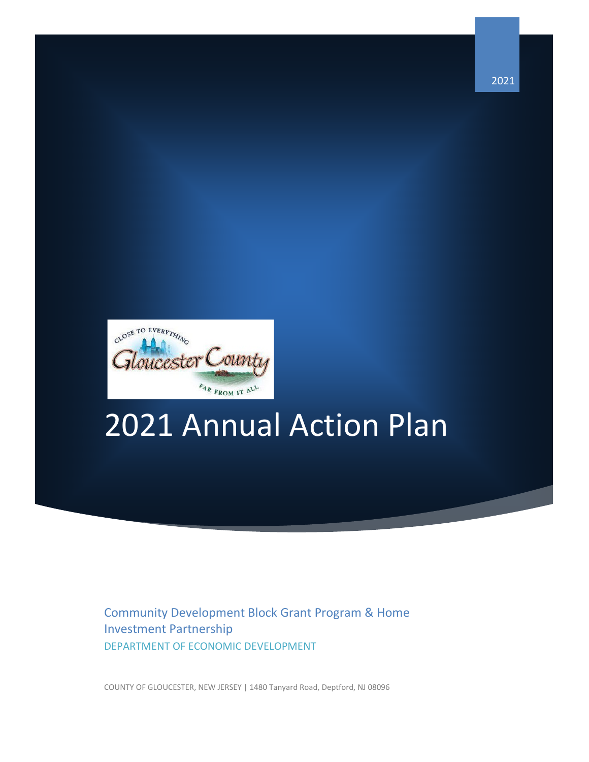

# 2021 Annual Action Plan

Community Development Block Grant Program & Home Investment Partnership DEPARTMENT OF ECONOMIC DEVELOPMENT

COUNTY OF GLOUCESTER, NEW JERSEY | 1480 Tanyard Road, Deptford, NJ 08096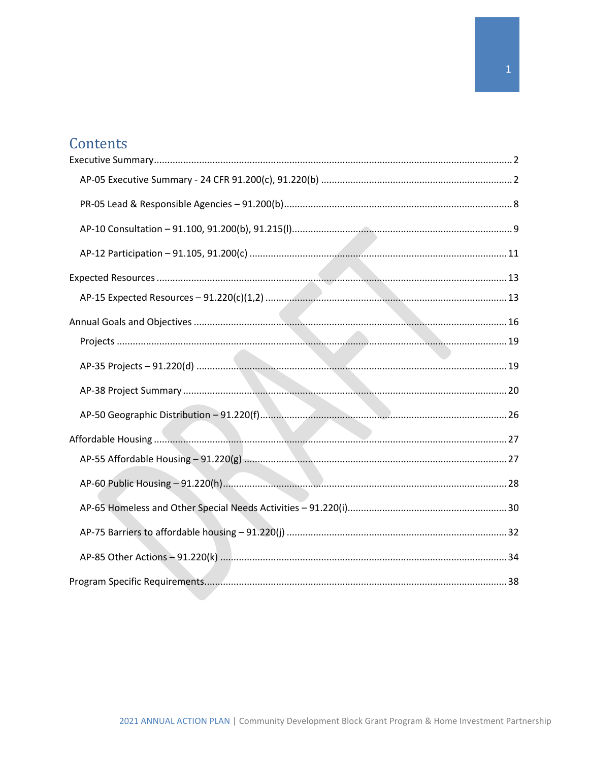# Contents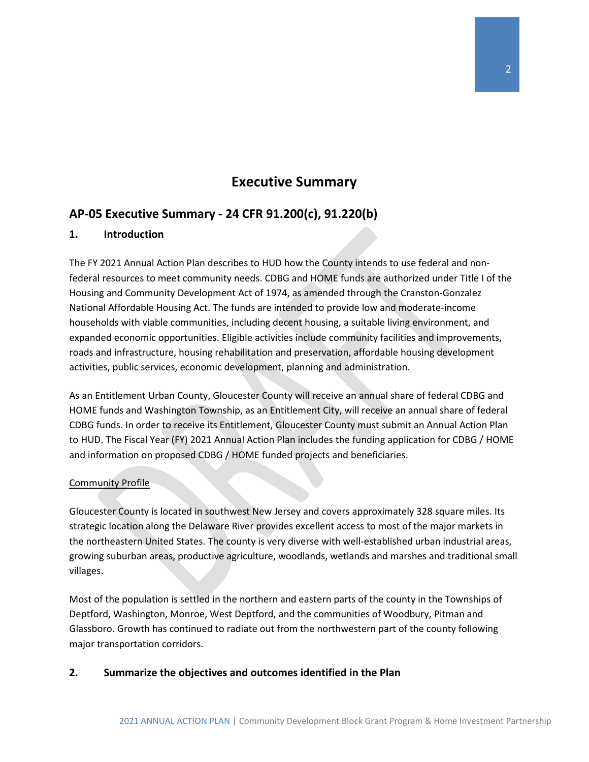### **Executive Summary**

### <span id="page-2-1"></span><span id="page-2-0"></span>**AP-05 Executive Summary - 24 CFR 91.200(c), 91.220(b)**

#### **1. Introduction**

The FY 2021 Annual Action Plan describes to HUD how the County intends to use federal and nonfederal resources to meet community needs. CDBG and HOME funds are authorized under Title I of the Housing and Community Development Act of 1974, as amended through the Cranston-Gonzalez National Affordable Housing Act. The funds are intended to provide low and moderate-income households with viable communities, including decent housing, a suitable living environment, and expanded economic opportunities. Eligible activities include community facilities and improvements, roads and infrastructure, housing rehabilitation and preservation, affordable housing development activities, public services, economic development, planning and administration.

As an Entitlement Urban County, Gloucester County will receive an annual share of federal CDBG and HOME funds and Washington Township, as an Entitlement City, will receive an annual share of federal CDBG funds. In order to receive its Entitlement, Gloucester County must submit an Annual Action Plan to HUD. The Fiscal Year (FY) 2021 Annual Action Plan includes the funding application for CDBG / HOME and information on proposed CDBG / HOME funded projects and beneficiaries.

#### Community Profile

Gloucester County is located in southwest New Jersey and covers approximately 328 square miles. Its strategic location along the Delaware River provides excellent access to most of the major markets in the northeastern United States. The county is very diverse with well-established urban industrial areas, growing suburban areas, productive agriculture, woodlands, wetlands and marshes and traditional small villages.

Most of the population is settled in the northern and eastern parts of the county in the Townships of Deptford, Washington, Monroe, West Deptford, and the communities of Woodbury, Pitman and Glassboro. Growth has continued to radiate out from the northwestern part of the county following major transportation corridors.

### **2. Summarize the objectives and outcomes identified in the Plan**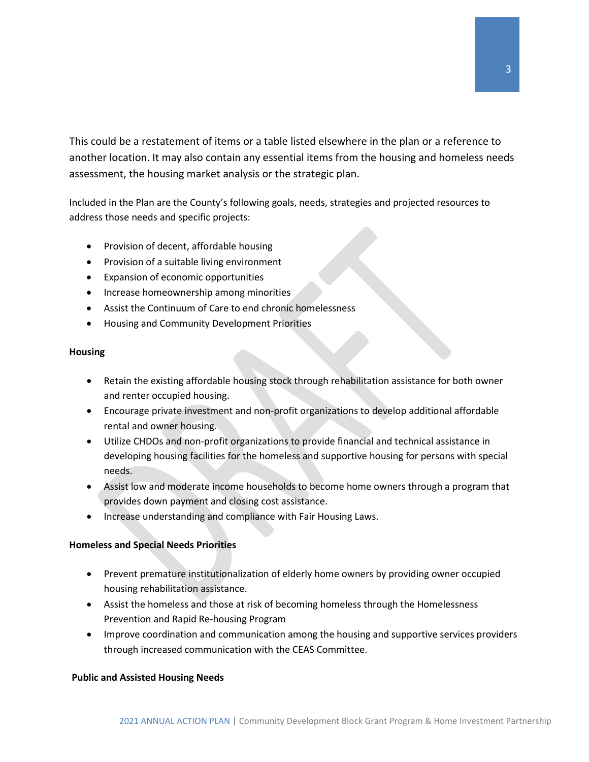This could be a restatement of items or a table listed elsewhere in the plan or a reference to another location. It may also contain any essential items from the housing and homeless needs assessment, the housing market analysis or the strategic plan.

Included in the Plan are the County's following goals, needs, strategies and projected resources to address those needs and specific projects:

- Provision of decent, affordable housing
- Provision of a suitable living environment
- Expansion of economic opportunities
- Increase homeownership among minorities
- Assist the Continuum of Care to end chronic homelessness
- Housing and Community Development Priorities

#### **Housing**

- Retain the existing affordable housing stock through rehabilitation assistance for both owner and renter occupied housing.
- Encourage private investment and non-profit organizations to develop additional affordable rental and owner housing.
- Utilize CHDOs and non-profit organizations to provide financial and technical assistance in developing housing facilities for the homeless and supportive housing for persons with special needs.
- Assist low and moderate income households to become home owners through a program that provides down payment and closing cost assistance.
- Increase understanding and compliance with Fair Housing Laws.

#### **Homeless and Special Needs Priorities**

- Prevent premature institutionalization of elderly home owners by providing owner occupied housing rehabilitation assistance.
- Assist the homeless and those at risk of becoming homeless through the Homelessness Prevention and Rapid Re-housing Program
- Improve coordination and communication among the housing and supportive services providers through increased communication with the CEAS Committee.

#### **Public and Assisted Housing Needs**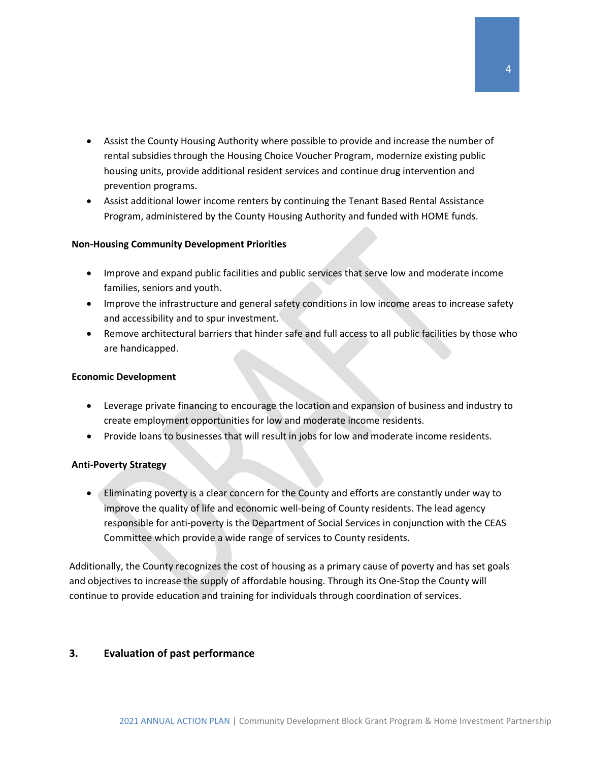- Assist the County Housing Authority where possible to provide and increase the number of rental subsidies through the Housing Choice Voucher Program, modernize existing public housing units, provide additional resident services and continue drug intervention and prevention programs.
- Assist additional lower income renters by continuing the Tenant Based Rental Assistance Program, administered by the County Housing Authority and funded with HOME funds.

#### **Non-Housing Community Development Priorities**

- Improve and expand public facilities and public services that serve low and moderate income families, seniors and youth.
- Improve the infrastructure and general safety conditions in low income areas to increase safety and accessibility and to spur investment.
- Remove architectural barriers that hinder safe and full access to all public facilities by those who are handicapped.

#### **Economic Development**

- Leverage private financing to encourage the location and expansion of business and industry to create employment opportunities for low and moderate income residents.
- Provide loans to businesses that will result in jobs for low and moderate income residents.

#### **Anti-Poverty Strategy**

• Eliminating poverty is a clear concern for the County and efforts are constantly under way to improve the quality of life and economic well-being of County residents. The lead agency responsible for anti-poverty is the Department of Social Services in conjunction with the CEAS Committee which provide a wide range of services to County residents.

Additionally, the County recognizes the cost of housing as a primary cause of poverty and has set goals and objectives to increase the supply of affordable housing. Through its One-Stop the County will continue to provide education and training for individuals through coordination of services.

#### **3. Evaluation of past performance**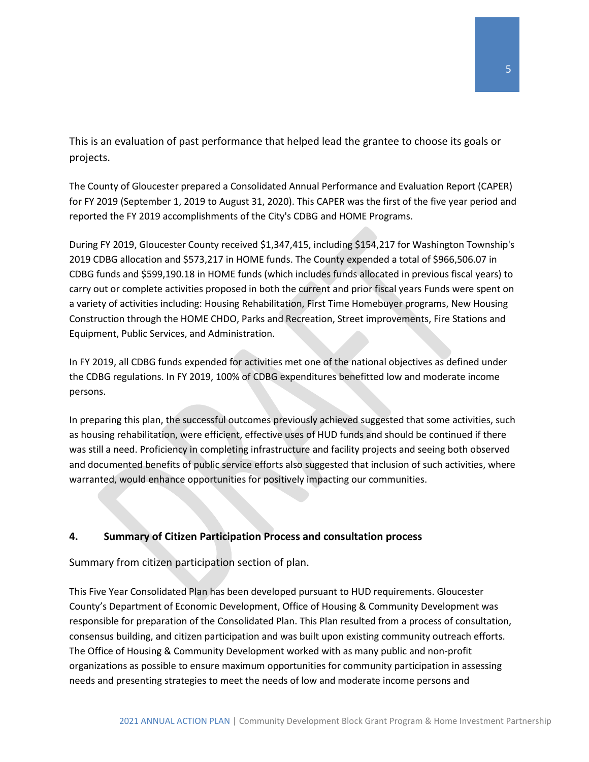This is an evaluation of past performance that helped lead the grantee to choose its goals or projects.

The County of Gloucester prepared a Consolidated Annual Performance and Evaluation Report (CAPER) for FY 2019 (September 1, 2019 to August 31, 2020). This CAPER was the first of the five year period and reported the FY 2019 accomplishments of the City's CDBG and HOME Programs.

During FY 2019, Gloucester County received \$1,347,415, including \$154,217 for Washington Township's 2019 CDBG allocation and \$573,217 in HOME funds. The County expended a total of \$966,506.07 in CDBG funds and \$599,190.18 in HOME funds (which includes funds allocated in previous fiscal years) to carry out or complete activities proposed in both the current and prior fiscal years Funds were spent on a variety of activities including: Housing Rehabilitation, First Time Homebuyer programs, New Housing Construction through the HOME CHDO, Parks and Recreation, Street improvements, Fire Stations and Equipment, Public Services, and Administration.

In FY 2019, all CDBG funds expended for activities met one of the national objectives as defined under the CDBG regulations. In FY 2019, 100% of CDBG expenditures benefitted low and moderate income persons.

In preparing this plan, the successful outcomes previously achieved suggested that some activities, such as housing rehabilitation, were efficient, effective uses of HUD funds and should be continued if there was still a need. Proficiency in completing infrastructure and facility projects and seeing both observed and documented benefits of public service efforts also suggested that inclusion of such activities, where warranted, would enhance opportunities for positively impacting our communities.

### **4. Summary of Citizen Participation Process and consultation process**

Summary from citizen participation section of plan.

This Five Year Consolidated Plan has been developed pursuant to HUD requirements. Gloucester County's Department of Economic Development, Office of Housing & Community Development was responsible for preparation of the Consolidated Plan. This Plan resulted from a process of consultation, consensus building, and citizen participation and was built upon existing community outreach efforts. The Office of Housing & Community Development worked with as many public and non-profit organizations as possible to ensure maximum opportunities for community participation in assessing needs and presenting strategies to meet the needs of low and moderate income persons and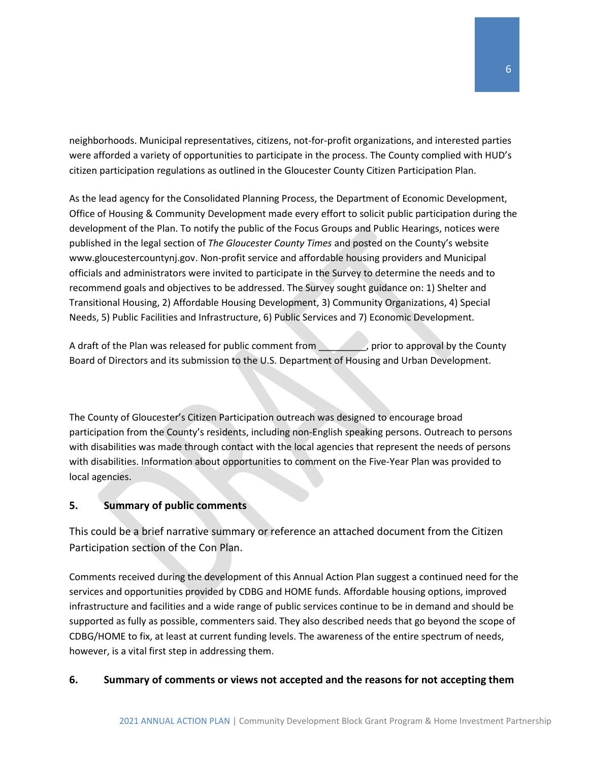neighborhoods. Municipal representatives, citizens, not-for-profit organizations, and interested parties were afforded a variety of opportunities to participate in the process. The County complied with HUD's citizen participation regulations as outlined in the Gloucester County Citizen Participation Plan.

As the lead agency for the Consolidated Planning Process, the Department of Economic Development, Office of Housing & Community Development made every effort to solicit public participation during the development of the Plan. To notify the public of the Focus Groups and Public Hearings, notices were published in the legal section of *The Gloucester County Times* and posted on the County's website www.gloucestercountynj.gov. Non-profit service and affordable housing providers and Municipal officials and administrators were invited to participate in the Survey to determine the needs and to recommend goals and objectives to be addressed. The Survey sought guidance on: 1) Shelter and Transitional Housing, 2) Affordable Housing Development, 3) Community Organizations, 4) Special Needs, 5) Public Facilities and Infrastructure, 6) Public Services and 7) Economic Development.

A draft of the Plan was released for public comment from prior to approval by the County Board of Directors and its submission to the U.S. Department of Housing and Urban Development.

The County of Gloucester's Citizen Participation outreach was designed to encourage broad participation from the County's residents, including non-English speaking persons. Outreach to persons with disabilities was made through contact with the local agencies that represent the needs of persons with disabilities. Information about opportunities to comment on the Five-Year Plan was provided to local agencies.

### **5. Summary of public comments**

This could be a brief narrative summary or reference an attached document from the Citizen Participation section of the Con Plan.

Comments received during the development of this Annual Action Plan suggest a continued need for the services and opportunities provided by CDBG and HOME funds. Affordable housing options, improved infrastructure and facilities and a wide range of public services continue to be in demand and should be supported as fully as possible, commenters said. They also described needs that go beyond the scope of CDBG/HOME to fix, at least at current funding levels. The awareness of the entire spectrum of needs, however, is a vital first step in addressing them.

### **6. Summary of comments or views not accepted and the reasons for not accepting them**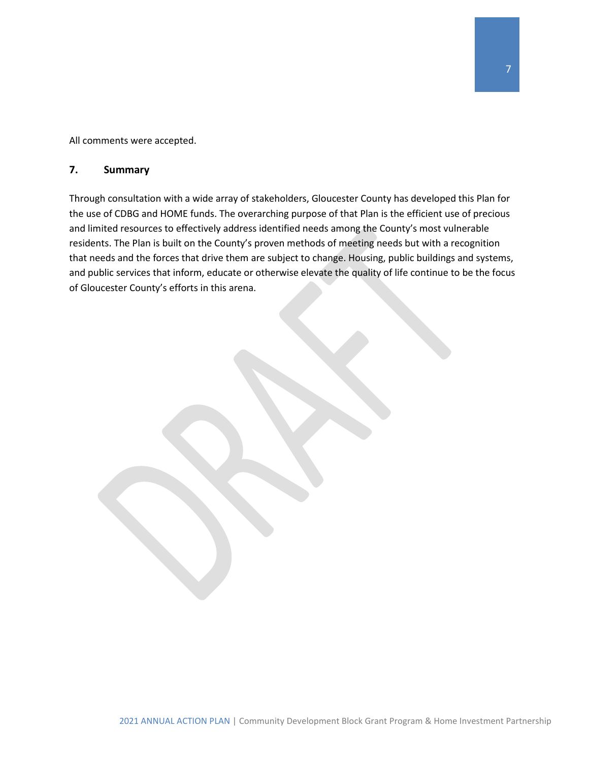All comments were accepted.

#### **7. Summary**

Through consultation with a wide array of stakeholders, Gloucester County has developed this Plan for the use of CDBG and HOME funds. The overarching purpose of that Plan is the efficient use of precious and limited resources to effectively address identified needs among the County's most vulnerable residents. The Plan is built on the County's proven methods of meeting needs but with a recognition that needs and the forces that drive them are subject to change. Housing, public buildings and systems, and public services that inform, educate or otherwise elevate the quality of life continue to be the focus of Gloucester County's efforts in this arena.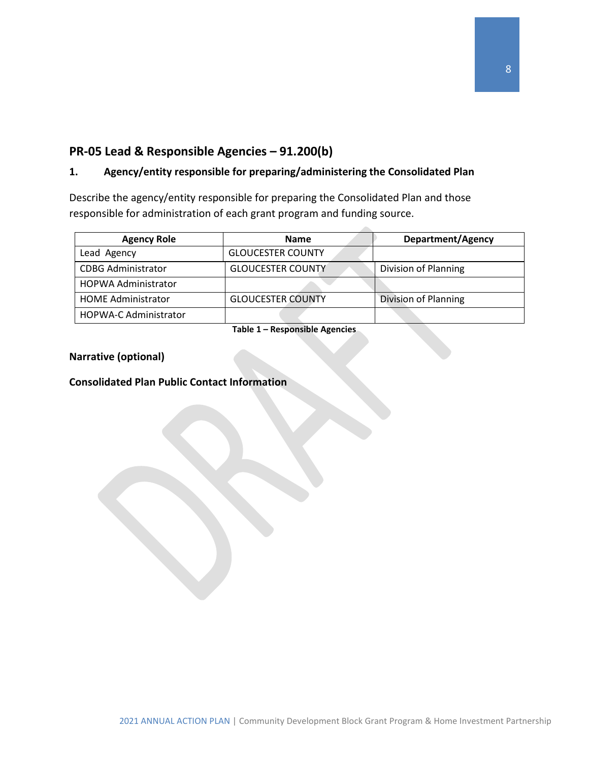### <span id="page-8-0"></span>**PR-05 Lead & Responsible Agencies – 91.200(b)**

### **1. Agency/entity responsible for preparing/administering the Consolidated Plan**

Describe the agency/entity responsible for preparing the Consolidated Plan and those responsible for administration of each grant program and funding source.

| <b>Agency Role</b>           | <b>Name</b>              | <b>Department/Agency</b> |
|------------------------------|--------------------------|--------------------------|
| Lead Agency                  | <b>GLOUCESTER COUNTY</b> |                          |
| <b>CDBG Administrator</b>    | <b>GLOUCESTER COUNTY</b> | Division of Planning     |
| <b>HOPWA Administrator</b>   |                          |                          |
| <b>HOME Administrator</b>    | <b>GLOUCESTER COUNTY</b> | Division of Planning     |
| <b>HOPWA-C Administrator</b> |                          |                          |

**Table 1 – Responsible Agencies**

### **Narrative (optional)**

### **Consolidated Plan Public Contact Information**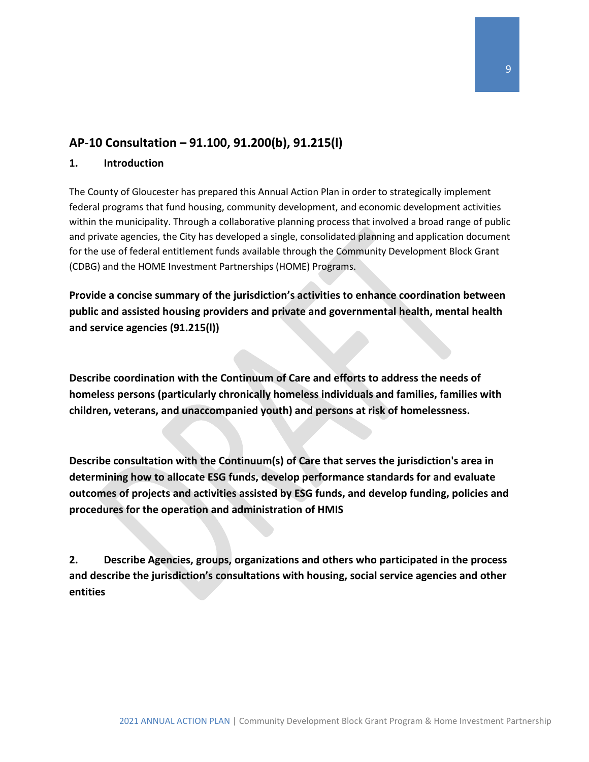### <span id="page-9-0"></span>**AP-10 Consultation – 91.100, 91.200(b), 91.215(l)**

#### **1. Introduction**

The County of Gloucester has prepared this Annual Action Plan in order to strategically implement federal programs that fund housing, community development, and economic development activities within the municipality. Through a collaborative planning process that involved a broad range of public and private agencies, the City has developed a single, consolidated planning and application document for the use of federal entitlement funds available through the Community Development Block Grant (CDBG) and the HOME Investment Partnerships (HOME) Programs.

**Provide a concise summary of the jurisdiction's activities to enhance coordination between public and assisted housing providers and private and governmental health, mental health and service agencies (91.215(l))**

**Describe coordination with the Continuum of Care and efforts to address the needs of homeless persons (particularly chronically homeless individuals and families, families with children, veterans, and unaccompanied youth) and persons at risk of homelessness.**

**Describe consultation with the Continuum(s) of Care that serves the jurisdiction's area in determining how to allocate ESG funds, develop performance standards for and evaluate outcomes of projects and activities assisted by ESG funds, and develop funding, policies and procedures for the operation and administration of HMIS**

**2. Describe Agencies, groups, organizations and others who participated in the process and describe the jurisdiction's consultations with housing, social service agencies and other entities**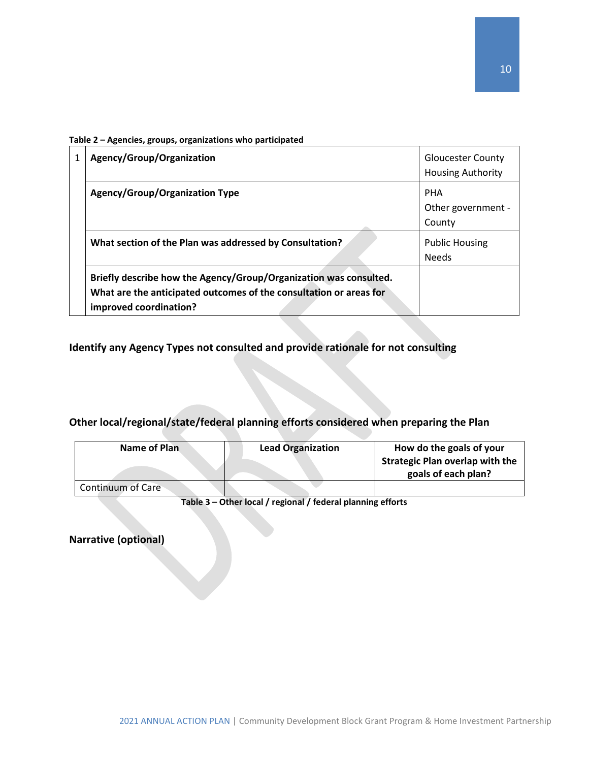| Table 2 - Agencies, groups, organizations who participated |  |  |
|------------------------------------------------------------|--|--|
|------------------------------------------------------------|--|--|

| Agency/Group/Organization                                                                                                                                         | <b>Gloucester County</b><br><b>Housing Authority</b> |
|-------------------------------------------------------------------------------------------------------------------------------------------------------------------|------------------------------------------------------|
| Agency/Group/Organization Type                                                                                                                                    | <b>PHA</b><br>Other government -                     |
| What section of the Plan was addressed by Consultation?                                                                                                           | County<br><b>Public Housing</b><br><b>Needs</b>      |
| Briefly describe how the Agency/Group/Organization was consulted.<br>What are the anticipated outcomes of the consultation or areas for<br>improved coordination? |                                                      |

**Identify any Agency Types not consulted and provide rationale for not consulting**

### **Other local/regional/state/federal planning efforts considered when preparing the Plan**

| Name of Plan             | <b>Lead Organization</b> | How do the goals of your               |
|--------------------------|--------------------------|----------------------------------------|
|                          |                          | <b>Strategic Plan overlap with the</b> |
|                          |                          | goals of each plan?                    |
| <b>Continuum of Care</b> |                          |                                        |

**Table 3 – Other local / regional / federal planning efforts**

**Narrative (optional)**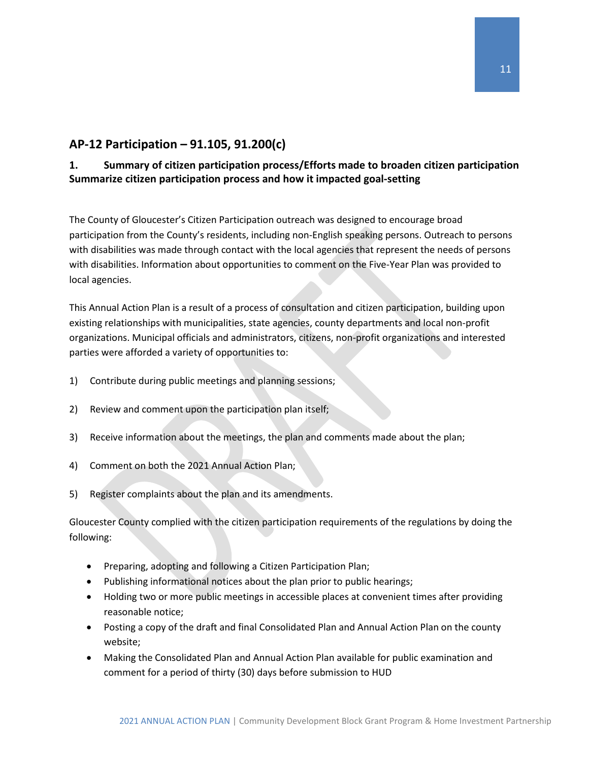### <span id="page-11-0"></span>**AP-12 Participation – 91.105, 91.200(c)**

### **1. Summary of citizen participation process/Efforts made to broaden citizen participation Summarize citizen participation process and how it impacted goal-setting**

The County of Gloucester's Citizen Participation outreach was designed to encourage broad participation from the County's residents, including non-English speaking persons. Outreach to persons with disabilities was made through contact with the local agencies that represent the needs of persons with disabilities. Information about opportunities to comment on the Five-Year Plan was provided to local agencies.

This Annual Action Plan is a result of a process of consultation and citizen participation, building upon existing relationships with municipalities, state agencies, county departments and local non-profit organizations. Municipal officials and administrators, citizens, non-profit organizations and interested parties were afforded a variety of opportunities to:

- 1) Contribute during public meetings and planning sessions;
- 2) Review and comment upon the participation plan itself;
- 3) Receive information about the meetings, the plan and comments made about the plan;
- 4) Comment on both the 2021 Annual Action Plan;
- 5) Register complaints about the plan and its amendments.

Gloucester County complied with the citizen participation requirements of the regulations by doing the following:

- Preparing, adopting and following a Citizen Participation Plan;
- Publishing informational notices about the plan prior to public hearings;
- Holding two or more public meetings in accessible places at convenient times after providing reasonable notice;
- Posting a copy of the draft and final Consolidated Plan and Annual Action Plan on the county website;
- Making the Consolidated Plan and Annual Action Plan available for public examination and comment for a period of thirty (30) days before submission to HUD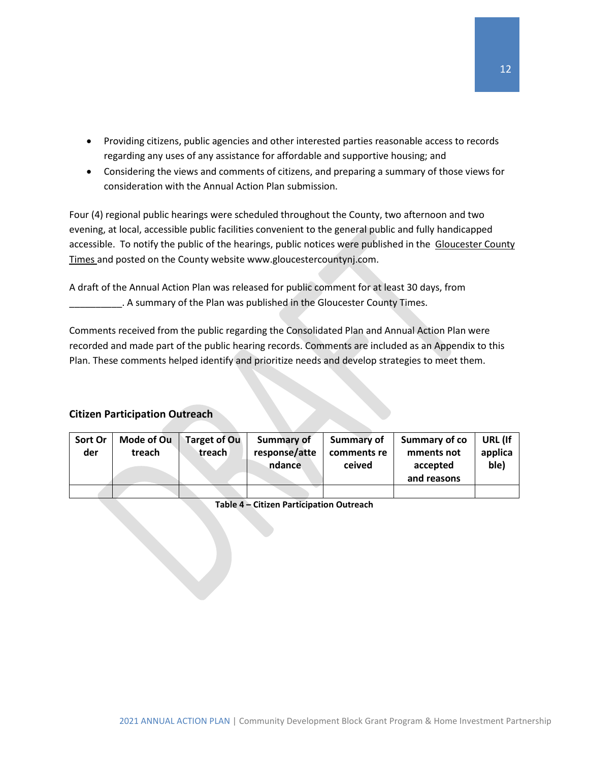- Providing citizens, public agencies and other interested parties reasonable access to records regarding any uses of any assistance for affordable and supportive housing; and
- Considering the views and comments of citizens, and preparing a summary of those views for consideration with the Annual Action Plan submission.

Four (4) regional public hearings were scheduled throughout the County, two afternoon and two evening, at local, accessible public facilities convenient to the general public and fully handicapped accessible. To notify the public of the hearings, public notices were published in the Gloucester County Times and posted on the County website www.gloucestercountynj.com.

A draft of the Annual Action Plan was released for public comment for at least 30 days, from \_\_\_\_\_\_\_\_\_\_. A summary of the Plan was published in the Gloucester County Times.

Comments received from the public regarding the Consolidated Plan and Annual Action Plan were recorded and made part of the public hearing records. Comments are included as an Appendix to this Plan. These comments helped identify and prioritize needs and develop strategies to meet them.

### **Citizen Participation Outreach**

| Sort Or<br>der | Mode of Ou<br>treach | <b>Target of Ou</b><br>treach | Summary of<br>response/atte<br>ndance | Summary of<br>comments re<br>ceived | Summary of co<br>mments not<br>accepted<br>and reasons | URL (If<br>applica<br>ble) |
|----------------|----------------------|-------------------------------|---------------------------------------|-------------------------------------|--------------------------------------------------------|----------------------------|
|                |                      |                               |                                       |                                     |                                                        |                            |

**Table 4 – Citizen Participation Outreach**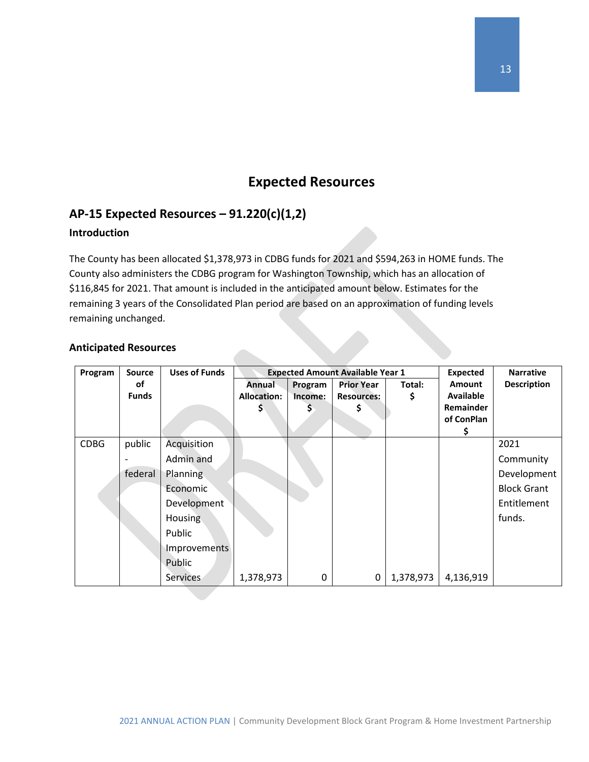### **Expected Resources**

### <span id="page-13-1"></span><span id="page-13-0"></span>**AP-15 Expected Resources – 91.220(c)(1,2)**

### **Introduction**

The County has been allocated \$1,378,973 in CDBG funds for 2021 and \$594,263 in HOME funds. The County also administers the CDBG program for Washington Township, which has an allocation of \$116,845 for 2021. That amount is included in the anticipated amount below. Estimates for the remaining 3 years of the Consolidated Plan period are based on an approximation of funding levels remaining unchanged.

#### **Anticipated Resources**

| Program     | <b>Source</b> | <b>Uses of Funds</b> | <b>Expected Amount Available Year 1</b> |         |                   |           | <b>Expected</b>  | <b>Narrative</b>   |
|-------------|---------------|----------------------|-----------------------------------------|---------|-------------------|-----------|------------------|--------------------|
|             | οf            |                      | Annual                                  | Program | <b>Prior Year</b> | Total:    | <b>Amount</b>    | <b>Description</b> |
|             | <b>Funds</b>  |                      | <b>Allocation:</b>                      | Income: | <b>Resources:</b> | \$        | <b>Available</b> |                    |
|             |               |                      | Ş                                       | S.      | S                 |           | <b>Remainder</b> |                    |
|             |               |                      |                                         |         |                   |           | of ConPlan       |                    |
|             |               |                      |                                         |         |                   |           | Ş                |                    |
| <b>CDBG</b> | public        | Acquisition          |                                         |         |                   |           |                  | 2021               |
|             |               | Admin and            |                                         |         |                   |           |                  | Community          |
|             | federal       | Planning             |                                         |         |                   |           |                  | Development        |
|             |               | Economic             |                                         |         |                   |           |                  | <b>Block Grant</b> |
|             |               | Development          |                                         |         |                   |           |                  | Entitlement        |
|             |               | <b>Housing</b>       |                                         |         |                   |           |                  | funds.             |
|             |               | Public               |                                         |         |                   |           |                  |                    |
|             |               | Improvements         |                                         |         |                   |           |                  |                    |
|             |               | Public               |                                         |         |                   |           |                  |                    |
|             |               | Services             | 1,378,973                               | 0       | $\mathbf 0$       | 1,378,973 | 4,136,919        |                    |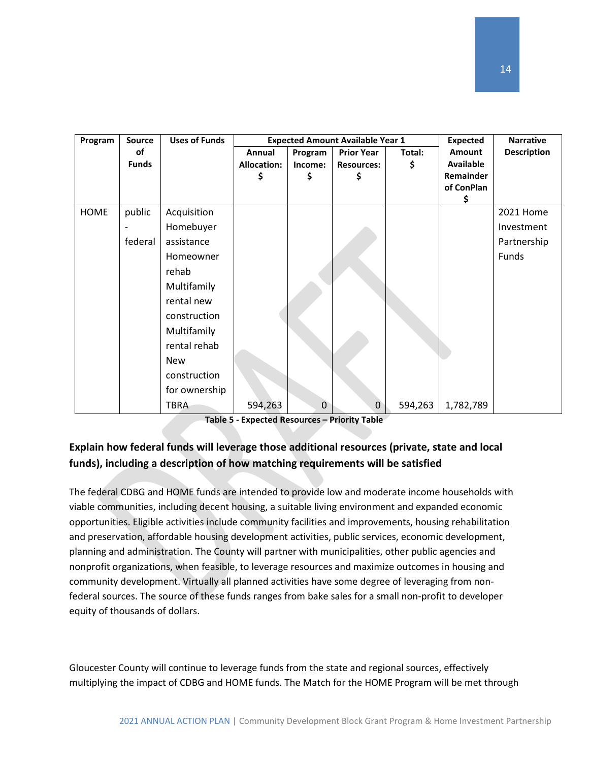| Program     | Source       | <b>Uses of Funds</b> |                    | <b>Expected Amount Available Year 1</b> |                   |         |                         | <b>Narrative</b>   |
|-------------|--------------|----------------------|--------------------|-----------------------------------------|-------------------|---------|-------------------------|--------------------|
|             | of           |                      | Annual             | Program                                 | <b>Prior Year</b> | Total:  | Amount                  | <b>Description</b> |
|             | <b>Funds</b> |                      | <b>Allocation:</b> | Income:                                 | <b>Resources:</b> | \$      | <b>Available</b>        |                    |
|             |              |                      | \$                 | \$                                      | \$                |         | Remainder<br>of ConPlan |                    |
|             |              |                      |                    |                                         |                   |         | \$                      |                    |
| <b>HOME</b> | public       | Acquisition          |                    |                                         |                   |         |                         | 2021 Home          |
|             |              | Homebuyer            |                    |                                         |                   |         |                         | Investment         |
|             | federal      | assistance           |                    |                                         |                   |         |                         | Partnership        |
|             |              | Homeowner            |                    |                                         |                   |         |                         | Funds              |
|             |              | rehab                |                    |                                         |                   |         |                         |                    |
|             |              | Multifamily          |                    |                                         |                   |         |                         |                    |
|             |              | rental new           |                    |                                         |                   |         |                         |                    |
|             |              | construction         |                    |                                         |                   |         |                         |                    |
|             |              | Multifamily          |                    |                                         |                   |         |                         |                    |
|             |              | rental rehab         |                    |                                         |                   |         |                         |                    |
|             |              | <b>New</b>           |                    |                                         |                   |         |                         |                    |
|             |              | construction         |                    |                                         |                   |         |                         |                    |
|             |              | for ownership        |                    |                                         |                   |         |                         |                    |
|             |              | TBRA                 | 594,263            | $\mathbf 0$                             | $\mathbf 0$       | 594,263 | 1,782,789               |                    |

**Table 5 - Expected Resources – Priority Table**

### **Explain how federal funds will leverage those additional resources (private, state and local funds), including a description of how matching requirements will be satisfied**

The federal CDBG and HOME funds are intended to provide low and moderate income households with viable communities, including decent housing, a suitable living environment and expanded economic opportunities. Eligible activities include community facilities and improvements, housing rehabilitation and preservation, affordable housing development activities, public services, economic development, planning and administration. The County will partner with municipalities, other public agencies and nonprofit organizations, when feasible, to leverage resources and maximize outcomes in housing and community development. Virtually all planned activities have some degree of leveraging from nonfederal sources. The source of these funds ranges from bake sales for a small non-profit to developer equity of thousands of dollars.

Gloucester County will continue to leverage funds from the state and regional sources, effectively multiplying the impact of CDBG and HOME funds. The Match for the HOME Program will be met through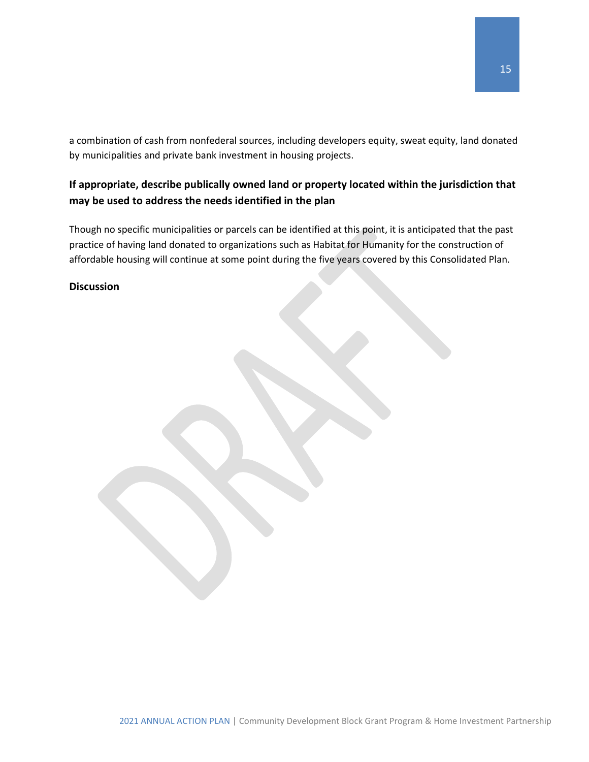a combination of cash from nonfederal sources, including developers equity, sweat equity, land donated by municipalities and private bank investment in housing projects.

### **If appropriate, describe publically owned land or property located within the jurisdiction that may be used to address the needs identified in the plan**

Though no specific municipalities or parcels can be identified at this point, it is anticipated that the past practice of having land donated to organizations such as Habitat for Humanity for the construction of affordable housing will continue at some point during the five years covered by this Consolidated Plan.

#### **Discussion**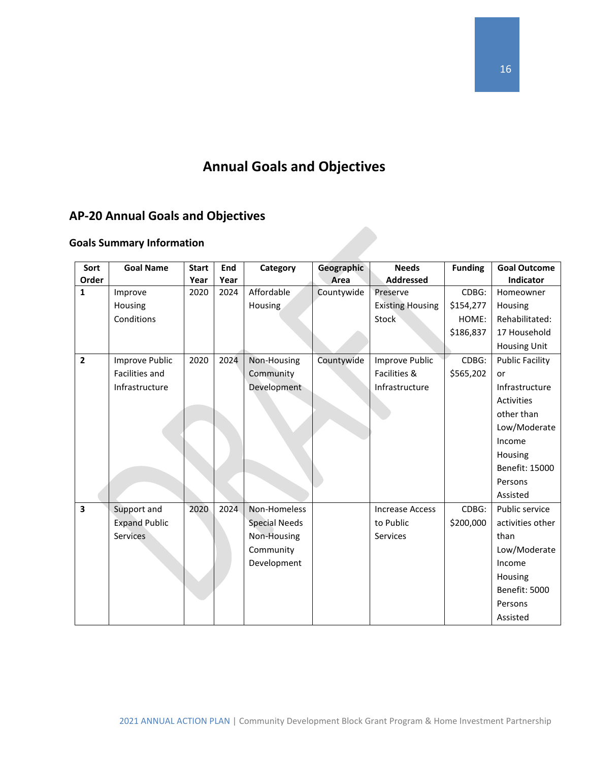# **Annual Goals and Objectives**

# <span id="page-16-0"></span>**AP-20 Annual Goals and Objectives**

### **Goals Summary Information**

| Sort<br>Order  | <b>Goal Name</b>     | <b>Start</b> | End<br>Year | Category             | Geographic<br>Area | <b>Needs</b><br><b>Addressed</b> | <b>Funding</b> | <b>Goal Outcome</b><br>Indicator |
|----------------|----------------------|--------------|-------------|----------------------|--------------------|----------------------------------|----------------|----------------------------------|
|                |                      | Year         |             |                      |                    |                                  |                |                                  |
| 1              | Improve              | 2020         | 2024        | Affordable           | Countywide         | Preserve                         | CDBG:          | Homeowner                        |
|                | Housing              |              |             | Housing              |                    | <b>Existing Housing</b>          | \$154,277      | Housing                          |
|                | Conditions           |              |             |                      |                    | Stock                            | HOME:          | Rehabilitated:                   |
|                |                      |              |             |                      |                    |                                  | \$186,837      | 17 Household                     |
|                |                      |              |             |                      |                    |                                  |                | <b>Housing Unit</b>              |
| $\overline{2}$ | Improve Public       | 2020         | 2024        | Non-Housing          | Countywide         | Improve Public                   | CDBG:          | <b>Public Facility</b>           |
|                | Facilities and       |              |             | Community            |                    | Facilities &                     | \$565,202      | or                               |
|                | Infrastructure       |              |             | Development          |                    | Infrastructure                   |                | Infrastructure                   |
|                |                      |              |             |                      |                    |                                  |                | <b>Activities</b>                |
|                |                      |              |             |                      |                    |                                  |                | other than                       |
|                |                      |              |             |                      |                    |                                  |                | Low/Moderate                     |
|                |                      |              |             |                      |                    |                                  |                | Income                           |
|                |                      |              |             |                      |                    |                                  |                | Housing                          |
|                |                      |              |             |                      |                    |                                  |                | Benefit: 15000                   |
|                |                      |              |             |                      |                    |                                  |                | Persons                          |
|                |                      |              |             |                      |                    |                                  |                | Assisted                         |
| 3              | Support and          | 2020         | 2024        | Non-Homeless         |                    | <b>Increase Access</b>           | CDBG:          | Public service                   |
|                | <b>Expand Public</b> |              |             | <b>Special Needs</b> |                    | to Public                        | \$200,000      | activities other                 |
|                | <b>Services</b>      |              |             | Non-Housing          |                    | <b>Services</b>                  |                | than                             |
|                |                      |              |             | Community            |                    |                                  |                | Low/Moderate                     |
|                |                      |              |             | Development          |                    |                                  |                | Income                           |
|                |                      |              |             |                      |                    |                                  |                | Housing                          |
|                |                      |              |             |                      |                    |                                  |                | Benefit: 5000                    |
|                |                      |              |             |                      |                    |                                  |                | Persons                          |
|                |                      |              |             |                      |                    |                                  |                | Assisted                         |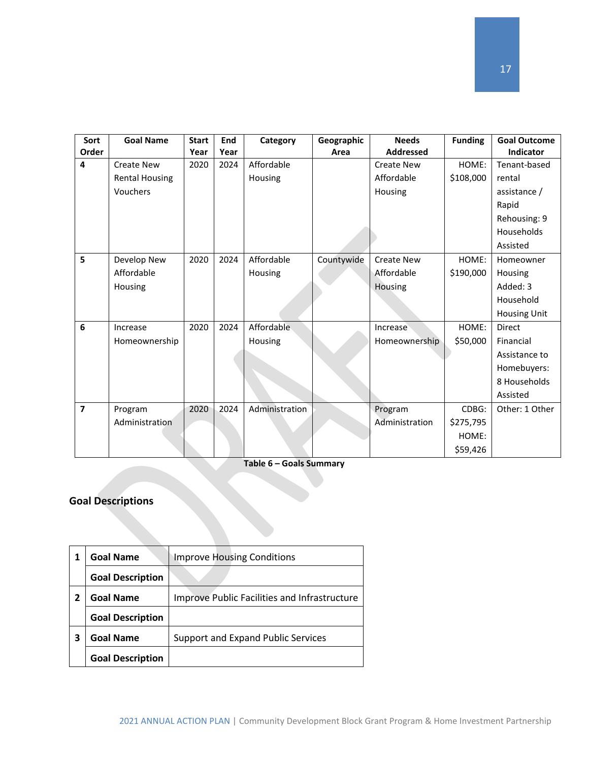| Sort                    | <b>Goal Name</b>      | <b>Start</b> | End  | Category       | Geographic | <b>Needs</b>      | <b>Funding</b> | <b>Goal Outcome</b> |
|-------------------------|-----------------------|--------------|------|----------------|------------|-------------------|----------------|---------------------|
| Order                   |                       | Year         | Year |                | Area       | <b>Addressed</b>  |                | Indicator           |
| 4                       | <b>Create New</b>     | 2020         | 2024 | Affordable     |            | <b>Create New</b> | HOME:          | Tenant-based        |
|                         | <b>Rental Housing</b> |              |      | Housing        |            | Affordable        | \$108,000      | rental              |
|                         | Vouchers              |              |      |                |            | Housing           |                | assistance /        |
|                         |                       |              |      |                |            |                   |                | Rapid               |
|                         |                       |              |      |                |            |                   |                | Rehousing: 9        |
|                         |                       |              |      |                |            |                   |                | Households          |
|                         |                       |              |      |                |            |                   |                | Assisted            |
| 5                       | Develop New           | 2020         | 2024 | Affordable     | Countywide | <b>Create New</b> | HOME:          | Homeowner           |
|                         | Affordable            |              |      | Housing        |            | Affordable        | \$190,000      | Housing             |
|                         | Housing               |              |      |                |            | Housing           |                | Added: 3            |
|                         |                       |              |      |                |            |                   |                | Household           |
|                         |                       |              |      |                |            |                   |                | <b>Housing Unit</b> |
| 6                       | Increase              | 2020         | 2024 | Affordable     |            | Increase          | HOME:          | <b>Direct</b>       |
|                         | Homeownership         |              |      | Housing        |            | Homeownership     | \$50,000       | Financial           |
|                         |                       |              |      |                |            |                   |                | Assistance to       |
|                         |                       |              |      |                |            |                   |                | Homebuyers:         |
|                         |                       |              |      |                |            |                   |                | 8 Households        |
|                         |                       |              |      |                |            |                   |                | Assisted            |
| $\overline{\mathbf{z}}$ | Program               | 2020         | 2024 | Administration |            | Program           | CDBG:          | Other: 1 Other      |
|                         | Administration        |              |      |                |            | Administration    | \$275,795      |                     |
|                         |                       |              |      |                |            |                   | HOME:          |                     |
|                         |                       |              |      |                |            |                   | \$59,426       |                     |

**Table 6 – Goals Summary**

### **Goal Descriptions**

|   | <b>Goal Name</b>        | <b>Improve Housing Conditions</b>                   |
|---|-------------------------|-----------------------------------------------------|
|   | <b>Goal Description</b> |                                                     |
| 2 | <b>Goal Name</b>        | <b>Improve Public Facilities and Infrastructure</b> |
|   | <b>Goal Description</b> |                                                     |
| 3 | <b>Goal Name</b>        | Support and Expand Public Services                  |
|   | <b>Goal Description</b> |                                                     |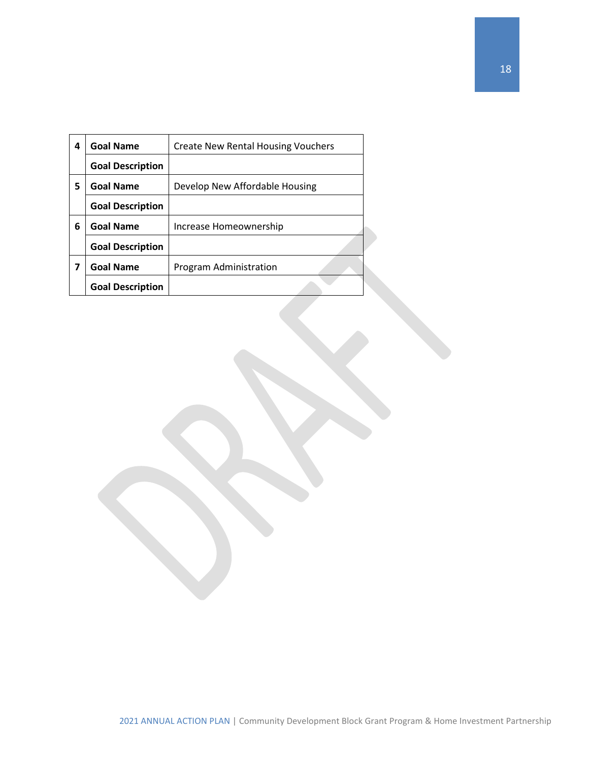| 4 | <b>Goal Name</b>        | <b>Create New Rental Housing Vouchers</b> |
|---|-------------------------|-------------------------------------------|
|   | <b>Goal Description</b> |                                           |
| 5 | <b>Goal Name</b>        | Develop New Affordable Housing            |
|   | <b>Goal Description</b> |                                           |
| 6 | <b>Goal Name</b>        | Increase Homeownership                    |
|   | <b>Goal Description</b> |                                           |
| 7 | <b>Goal Name</b>        | Program Administration                    |
|   | <b>Goal Description</b> |                                           |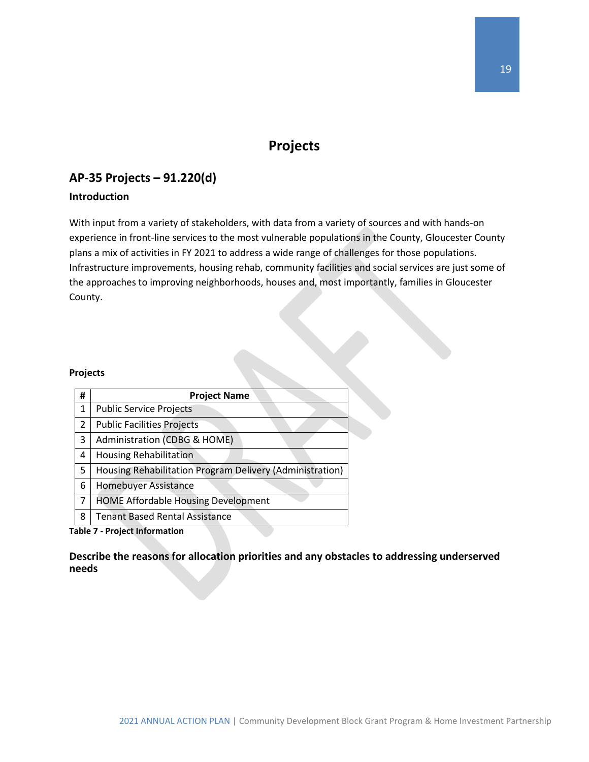### **Projects**

### <span id="page-19-1"></span><span id="page-19-0"></span>**AP-35 Projects – 91.220(d)**

### **Introduction**

With input from a variety of stakeholders, with data from a variety of sources and with hands-on experience in front-line services to the most vulnerable populations in the County, Gloucester County plans a mix of activities in FY 2021 to address a wide range of challenges for those populations. Infrastructure improvements, housing rehab, community facilities and social services are just some of the approaches to improving neighborhoods, houses and, most importantly, families in Gloucester County.

#### **Projects**

| # | <b>Project Name</b>                                      |
|---|----------------------------------------------------------|
| 1 | <b>Public Service Projects</b>                           |
| 2 | <b>Public Facilities Projects</b>                        |
| 3 | Administration (CDBG & HOME)                             |
| 4 | <b>Housing Rehabilitation</b>                            |
| 5 | Housing Rehabilitation Program Delivery (Administration) |
| 6 | Homebuyer Assistance                                     |
| 7 | <b>HOME Affordable Housing Development</b>               |
| 8 | <b>Tenant Based Rental Assistance</b>                    |

**Table 7 - Project Information**

**Describe the reasons for allocation priorities and any obstacles to addressing underserved needs**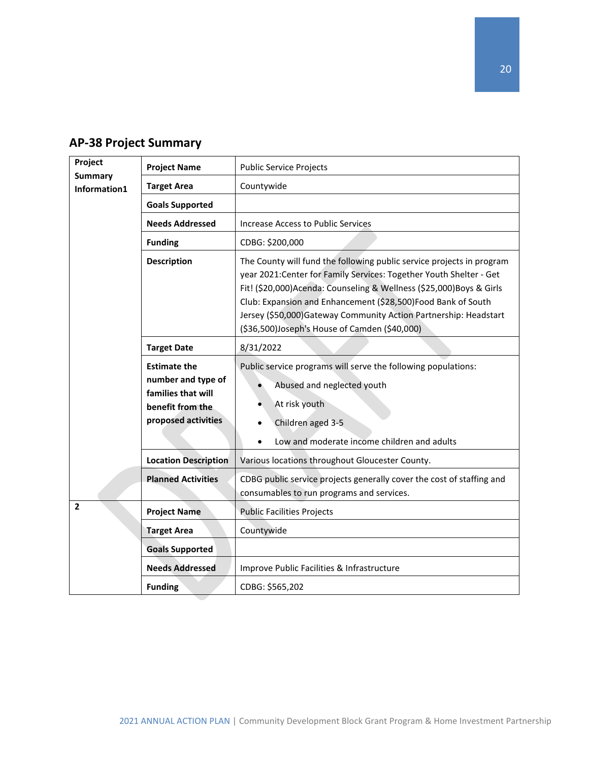| Project        | <b>Project Name</b>                                                                                        | <b>Public Service Projects</b>                                                                                                                                                                                                                                                                                                                                                                            |  |  |
|----------------|------------------------------------------------------------------------------------------------------------|-----------------------------------------------------------------------------------------------------------------------------------------------------------------------------------------------------------------------------------------------------------------------------------------------------------------------------------------------------------------------------------------------------------|--|--|
| <b>Summary</b> | <b>Target Area</b>                                                                                         | Countywide                                                                                                                                                                                                                                                                                                                                                                                                |  |  |
| Information1   |                                                                                                            |                                                                                                                                                                                                                                                                                                                                                                                                           |  |  |
|                | <b>Goals Supported</b>                                                                                     |                                                                                                                                                                                                                                                                                                                                                                                                           |  |  |
|                | <b>Needs Addressed</b>                                                                                     | <b>Increase Access to Public Services</b>                                                                                                                                                                                                                                                                                                                                                                 |  |  |
|                | <b>Funding</b>                                                                                             | CDBG: \$200,000                                                                                                                                                                                                                                                                                                                                                                                           |  |  |
|                | <b>Description</b>                                                                                         | The County will fund the following public service projects in program<br>year 2021: Center for Family Services: Together Youth Shelter - Get<br>Fit! (\$20,000)Acenda: Counseling & Wellness (\$25,000)Boys & Girls<br>Club: Expansion and Enhancement (\$28,500)Food Bank of South<br>Jersey (\$50,000) Gateway Community Action Partnership: Headstart<br>(\$36,500)Joseph's House of Camden (\$40,000) |  |  |
|                | <b>Target Date</b>                                                                                         | 8/31/2022                                                                                                                                                                                                                                                                                                                                                                                                 |  |  |
|                | <b>Estimate the</b><br>number and type of<br>families that will<br>benefit from the<br>proposed activities | Public service programs will serve the following populations:<br>Abused and neglected youth<br>At risk youth<br>Children aged 3-5<br>Low and moderate income children and adults                                                                                                                                                                                                                          |  |  |
|                | <b>Location Description</b>                                                                                | Various locations throughout Gloucester County.                                                                                                                                                                                                                                                                                                                                                           |  |  |
|                | <b>Planned Activities</b>                                                                                  | CDBG public service projects generally cover the cost of staffing and<br>consumables to run programs and services.                                                                                                                                                                                                                                                                                        |  |  |
| $\overline{2}$ | <b>Project Name</b>                                                                                        | <b>Public Facilities Projects</b>                                                                                                                                                                                                                                                                                                                                                                         |  |  |
|                | <b>Target Area</b>                                                                                         | Countywide                                                                                                                                                                                                                                                                                                                                                                                                |  |  |
|                | <b>Goals Supported</b>                                                                                     |                                                                                                                                                                                                                                                                                                                                                                                                           |  |  |
|                | <b>Needs Addressed</b>                                                                                     | Improve Public Facilities & Infrastructure                                                                                                                                                                                                                                                                                                                                                                |  |  |
|                | <b>Funding</b>                                                                                             | CDBG: \$565,202                                                                                                                                                                                                                                                                                                                                                                                           |  |  |

### <span id="page-20-0"></span>**AP-38 Project Summary**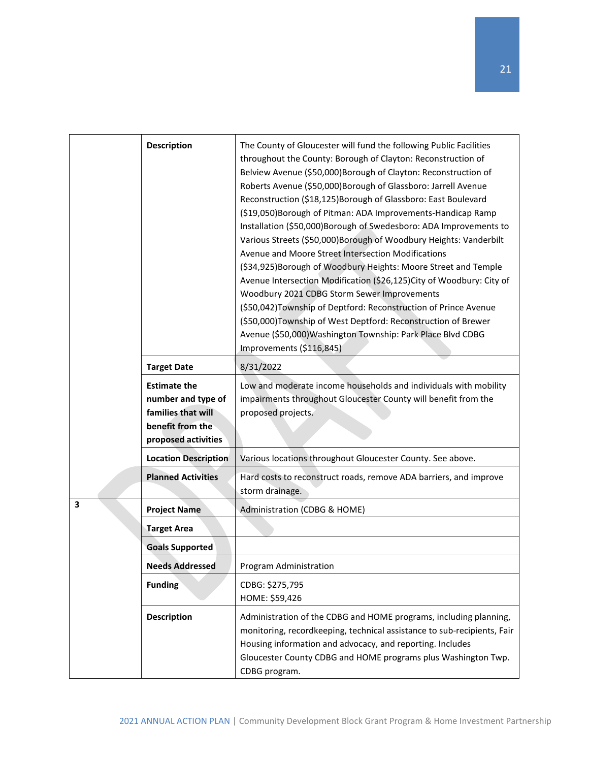|   | <b>Description</b>                                                                                         | The County of Gloucester will fund the following Public Facilities<br>throughout the County: Borough of Clayton: Reconstruction of<br>Belview Avenue (\$50,000)Borough of Clayton: Reconstruction of<br>Roberts Avenue (\$50,000) Borough of Glassboro: Jarrell Avenue<br>Reconstruction (\$18,125) Borough of Glassboro: East Boulevard<br>(\$19,050) Borough of Pitman: ADA Improvements-Handicap Ramp<br>Installation (\$50,000)Borough of Swedesboro: ADA Improvements to<br>Various Streets (\$50,000) Borough of Woodbury Heights: Vanderbilt<br>Avenue and Moore Street Intersection Modifications<br>(\$34,925) Borough of Woodbury Heights: Moore Street and Temple<br>Avenue Intersection Modification (\$26,125)City of Woodbury: City of<br>Woodbury 2021 CDBG Storm Sewer Improvements<br>(\$50,042) Township of Deptford: Reconstruction of Prince Avenue<br>(\$50,000)Township of West Deptford: Reconstruction of Brewer<br>Avenue (\$50,000) Washington Township: Park Place Blvd CDBG<br>Improvements (\$116,845) |
|---|------------------------------------------------------------------------------------------------------------|-------------------------------------------------------------------------------------------------------------------------------------------------------------------------------------------------------------------------------------------------------------------------------------------------------------------------------------------------------------------------------------------------------------------------------------------------------------------------------------------------------------------------------------------------------------------------------------------------------------------------------------------------------------------------------------------------------------------------------------------------------------------------------------------------------------------------------------------------------------------------------------------------------------------------------------------------------------------------------------------------------------------------------------|
|   | <b>Target Date</b>                                                                                         | 8/31/2022                                                                                                                                                                                                                                                                                                                                                                                                                                                                                                                                                                                                                                                                                                                                                                                                                                                                                                                                                                                                                           |
|   | <b>Estimate the</b><br>number and type of<br>families that will<br>benefit from the<br>proposed activities | Low and moderate income households and individuals with mobility<br>impairments throughout Gloucester County will benefit from the<br>proposed projects.                                                                                                                                                                                                                                                                                                                                                                                                                                                                                                                                                                                                                                                                                                                                                                                                                                                                            |
|   | <b>Location Description</b>                                                                                | Various locations throughout Gloucester County. See above.                                                                                                                                                                                                                                                                                                                                                                                                                                                                                                                                                                                                                                                                                                                                                                                                                                                                                                                                                                          |
|   | <b>Planned Activities</b>                                                                                  | Hard costs to reconstruct roads, remove ADA barriers, and improve<br>storm drainage.                                                                                                                                                                                                                                                                                                                                                                                                                                                                                                                                                                                                                                                                                                                                                                                                                                                                                                                                                |
| 3 | <b>Project Name</b>                                                                                        | Administration (CDBG & HOME)                                                                                                                                                                                                                                                                                                                                                                                                                                                                                                                                                                                                                                                                                                                                                                                                                                                                                                                                                                                                        |
|   | <b>Target Area</b>                                                                                         |                                                                                                                                                                                                                                                                                                                                                                                                                                                                                                                                                                                                                                                                                                                                                                                                                                                                                                                                                                                                                                     |
|   | <b>Goals Supported</b>                                                                                     |                                                                                                                                                                                                                                                                                                                                                                                                                                                                                                                                                                                                                                                                                                                                                                                                                                                                                                                                                                                                                                     |
|   | <b>Needs Addressed</b>                                                                                     | Program Administration                                                                                                                                                                                                                                                                                                                                                                                                                                                                                                                                                                                                                                                                                                                                                                                                                                                                                                                                                                                                              |
|   | <b>Funding</b>                                                                                             | CDBG: \$275,795<br>HOME: \$59,426                                                                                                                                                                                                                                                                                                                                                                                                                                                                                                                                                                                                                                                                                                                                                                                                                                                                                                                                                                                                   |
|   | <b>Description</b>                                                                                         | Administration of the CDBG and HOME programs, including planning,<br>monitoring, recordkeeping, technical assistance to sub-recipients, Fair<br>Housing information and advocacy, and reporting. Includes<br>Gloucester County CDBG and HOME programs plus Washington Twp.<br>CDBG program.                                                                                                                                                                                                                                                                                                                                                                                                                                                                                                                                                                                                                                                                                                                                         |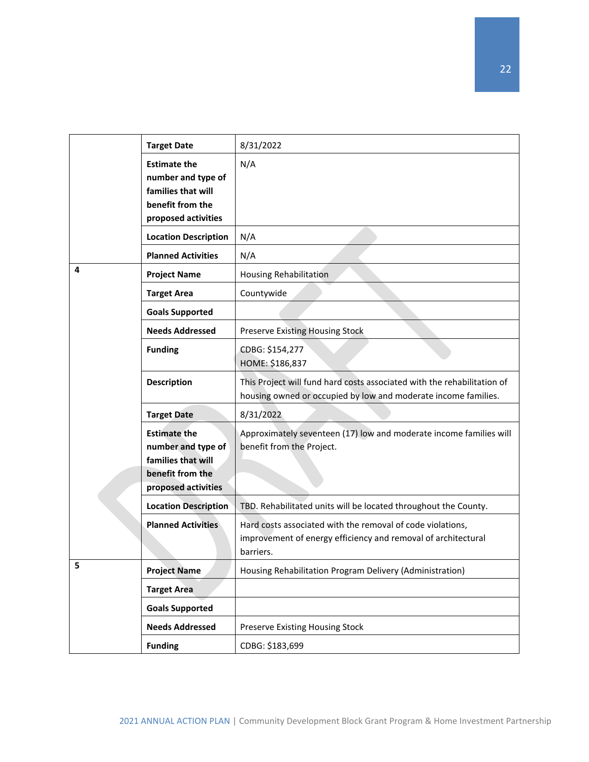|   | <b>Target Date</b>                                                                                         | 8/31/2022                                                                                                                                 |
|---|------------------------------------------------------------------------------------------------------------|-------------------------------------------------------------------------------------------------------------------------------------------|
|   | <b>Estimate the</b><br>number and type of<br>families that will<br>benefit from the<br>proposed activities | N/A                                                                                                                                       |
|   | <b>Location Description</b>                                                                                | N/A                                                                                                                                       |
|   | <b>Planned Activities</b>                                                                                  | N/A                                                                                                                                       |
| 4 | <b>Project Name</b>                                                                                        | <b>Housing Rehabilitation</b>                                                                                                             |
|   | <b>Target Area</b>                                                                                         | Countywide                                                                                                                                |
|   | <b>Goals Supported</b>                                                                                     |                                                                                                                                           |
|   | <b>Needs Addressed</b>                                                                                     | <b>Preserve Existing Housing Stock</b>                                                                                                    |
|   | <b>Funding</b>                                                                                             | CDBG: \$154,277<br>HOME: \$186,837                                                                                                        |
|   | <b>Description</b>                                                                                         | This Project will fund hard costs associated with the rehabilitation of<br>housing owned or occupied by low and moderate income families. |
|   | <b>Target Date</b>                                                                                         | 8/31/2022                                                                                                                                 |
|   | <b>Estimate the</b><br>number and type of<br>families that will<br>benefit from the<br>proposed activities | Approximately seventeen (17) low and moderate income families will<br>benefit from the Project.                                           |
|   | <b>Location Description</b>                                                                                | TBD. Rehabilitated units will be located throughout the County.                                                                           |
|   | <b>Planned Activities</b>                                                                                  | Hard costs associated with the removal of code violations,<br>improvement of energy efficiency and removal of architectural<br>barriers.  |
| 5 | <b>Project Name</b>                                                                                        | Housing Rehabilitation Program Delivery (Administration)                                                                                  |
|   | <b>Target Area</b>                                                                                         |                                                                                                                                           |
|   | <b>Goals Supported</b>                                                                                     |                                                                                                                                           |
|   | <b>Needs Addressed</b>                                                                                     | Preserve Existing Housing Stock                                                                                                           |
|   | <b>Funding</b>                                                                                             | CDBG: \$183,699                                                                                                                           |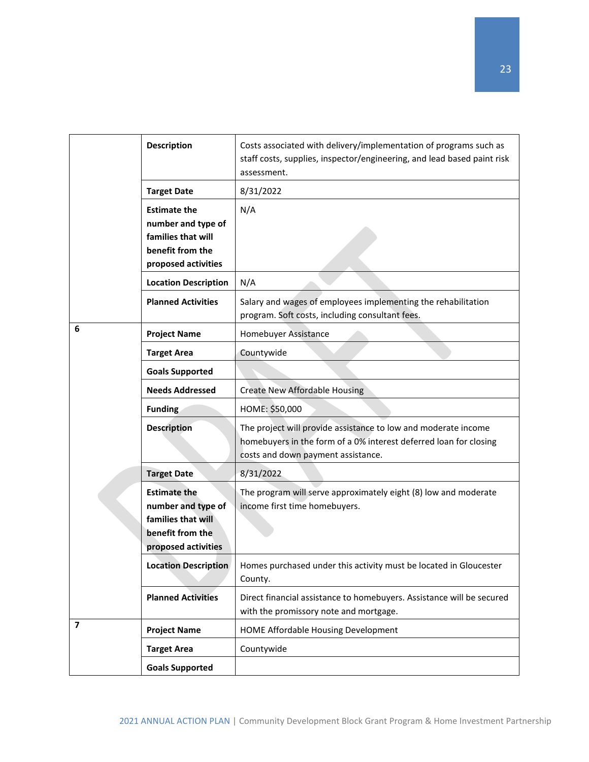|                | <b>Description</b>                                                                                         | Costs associated with delivery/implementation of programs such as<br>staff costs, supplies, inspector/engineering, and lead based paint risk<br>assessment.               |
|----------------|------------------------------------------------------------------------------------------------------------|---------------------------------------------------------------------------------------------------------------------------------------------------------------------------|
|                | <b>Target Date</b>                                                                                         | 8/31/2022                                                                                                                                                                 |
|                | <b>Estimate the</b><br>number and type of<br>families that will<br>benefit from the<br>proposed activities | N/A                                                                                                                                                                       |
|                | <b>Location Description</b>                                                                                | N/A                                                                                                                                                                       |
|                | <b>Planned Activities</b>                                                                                  | Salary and wages of employees implementing the rehabilitation<br>program. Soft costs, including consultant fees.                                                          |
| 6              | <b>Project Name</b>                                                                                        | Homebuyer Assistance                                                                                                                                                      |
|                | <b>Target Area</b>                                                                                         | Countywide                                                                                                                                                                |
|                | <b>Goals Supported</b>                                                                                     |                                                                                                                                                                           |
|                | <b>Needs Addressed</b>                                                                                     | <b>Create New Affordable Housing</b>                                                                                                                                      |
|                | <b>Funding</b>                                                                                             | HOME: \$50,000                                                                                                                                                            |
|                | <b>Description</b>                                                                                         | The project will provide assistance to low and moderate income<br>homebuyers in the form of a 0% interest deferred loan for closing<br>costs and down payment assistance. |
|                | <b>Target Date</b>                                                                                         | 8/31/2022                                                                                                                                                                 |
|                | <b>Estimate the</b><br>number and type of<br>families that will<br>benefit from the<br>proposed activities | The program will serve approximately eight (8) low and moderate<br>income first time homebuyers.                                                                          |
|                | <b>Location Description</b>                                                                                | Homes purchased under this activity must be located in Gloucester<br>County.                                                                                              |
|                | <b>Planned Activities</b>                                                                                  | Direct financial assistance to homebuyers. Assistance will be secured<br>with the promissory note and mortgage.                                                           |
| $\overline{ }$ | <b>Project Name</b>                                                                                        | HOME Affordable Housing Development                                                                                                                                       |
|                | <b>Target Area</b>                                                                                         | Countywide                                                                                                                                                                |
|                | <b>Goals Supported</b>                                                                                     |                                                                                                                                                                           |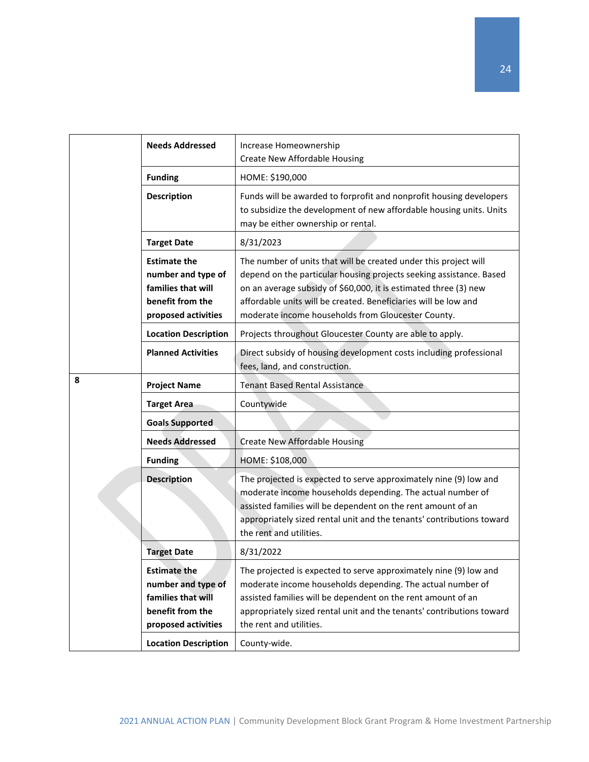|   | <b>Needs Addressed</b>                                                                                     | Increase Homeownership                                                                                                                                                                                                                                                                                                               |
|---|------------------------------------------------------------------------------------------------------------|--------------------------------------------------------------------------------------------------------------------------------------------------------------------------------------------------------------------------------------------------------------------------------------------------------------------------------------|
|   |                                                                                                            | <b>Create New Affordable Housing</b>                                                                                                                                                                                                                                                                                                 |
|   | <b>Funding</b>                                                                                             | HOME: \$190,000                                                                                                                                                                                                                                                                                                                      |
|   | <b>Description</b>                                                                                         | Funds will be awarded to forprofit and nonprofit housing developers<br>to subsidize the development of new affordable housing units. Units<br>may be either ownership or rental.                                                                                                                                                     |
|   | <b>Target Date</b>                                                                                         | 8/31/2023                                                                                                                                                                                                                                                                                                                            |
|   | <b>Estimate the</b><br>number and type of<br>families that will<br>benefit from the<br>proposed activities | The number of units that will be created under this project will<br>depend on the particular housing projects seeking assistance. Based<br>on an average subsidy of \$60,000, it is estimated three (3) new<br>affordable units will be created. Beneficiaries will be low and<br>moderate income households from Gloucester County. |
|   | <b>Location Description</b>                                                                                | Projects throughout Gloucester County are able to apply.                                                                                                                                                                                                                                                                             |
|   | <b>Planned Activities</b>                                                                                  | Direct subsidy of housing development costs including professional<br>fees, land, and construction.                                                                                                                                                                                                                                  |
| 8 | <b>Project Name</b>                                                                                        | <b>Tenant Based Rental Assistance</b>                                                                                                                                                                                                                                                                                                |
|   | <b>Target Area</b>                                                                                         | Countywide                                                                                                                                                                                                                                                                                                                           |
|   | <b>Goals Supported</b>                                                                                     |                                                                                                                                                                                                                                                                                                                                      |
|   | <b>Needs Addressed</b>                                                                                     | Create New Affordable Housing                                                                                                                                                                                                                                                                                                        |
|   | <b>Funding</b>                                                                                             | HOME: \$108,000                                                                                                                                                                                                                                                                                                                      |
|   | <b>Description</b>                                                                                         | The projected is expected to serve approximately nine (9) low and<br>moderate income households depending. The actual number of<br>assisted families will be dependent on the rent amount of an<br>appropriately sized rental unit and the tenants' contributions toward<br>the rent and utilities.                                  |
|   | <b>Target Date</b>                                                                                         | 8/31/2022                                                                                                                                                                                                                                                                                                                            |
|   | <b>Estimate the</b><br>number and type of<br>families that will<br>benefit from the<br>proposed activities | The projected is expected to serve approximately nine (9) low and<br>moderate income households depending. The actual number of<br>assisted families will be dependent on the rent amount of an<br>appropriately sized rental unit and the tenants' contributions toward<br>the rent and utilities.                                  |
|   | <b>Location Description</b>                                                                                | County-wide.                                                                                                                                                                                                                                                                                                                         |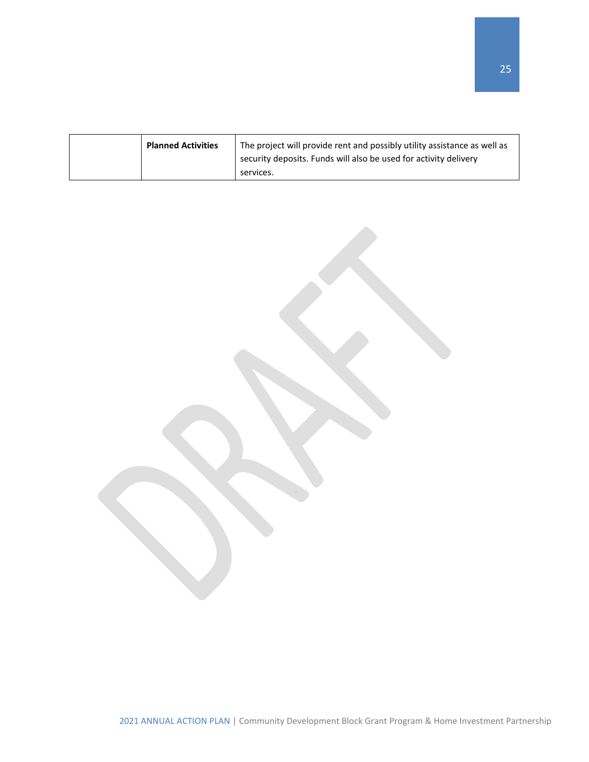| <b>Planned Activities</b> | The project will provide rent and possibly utility assistance as well as<br>security deposits. Funds will also be used for activity delivery<br>services. |
|---------------------------|-----------------------------------------------------------------------------------------------------------------------------------------------------------|
|                           |                                                                                                                                                           |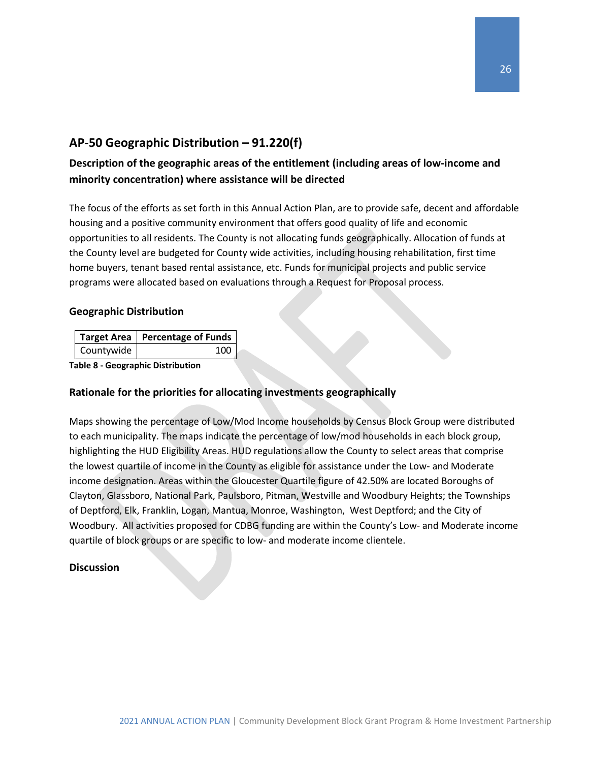### <span id="page-26-0"></span>**AP-50 Geographic Distribution – 91.220(f)**

### **Description of the geographic areas of the entitlement (including areas of low-income and minority concentration) where assistance will be directed**

The focus of the efforts as set forth in this Annual Action Plan, are to provide safe, decent and affordable housing and a positive community environment that offers good quality of life and economic opportunities to all residents. The County is not allocating funds geographically. Allocation of funds at the County level are budgeted for County wide activities, including housing rehabilitation, first time home buyers, tenant based rental assistance, etc. Funds for municipal projects and public service programs were allocated based on evaluations through a Request for Proposal process.

#### **Geographic Distribution**

|            | Target Area   Percentage of Funds |
|------------|-----------------------------------|
| Countywide | 100                               |

**Table 8 - Geographic Distribution** 

#### **Rationale for the priorities for allocating investments geographically**

Maps showing the percentage of Low/Mod Income households by Census Block Group were distributed to each municipality. The maps indicate the percentage of low/mod households in each block group, highlighting the HUD Eligibility Areas. HUD regulations allow the County to select areas that comprise the lowest quartile of income in the County as eligible for assistance under the Low- and Moderate income designation. Areas within the Gloucester Quartile figure of 42.50% are located Boroughs of Clayton, Glassboro, National Park, Paulsboro, Pitman, Westville and Woodbury Heights; the Townships of Deptford, Elk, Franklin, Logan, Mantua, Monroe, Washington, West Deptford; and the City of Woodbury. All activities proposed for CDBG funding are within the County's Low- and Moderate income quartile of block groups or are specific to low- and moderate income clientele.

#### **Discussion**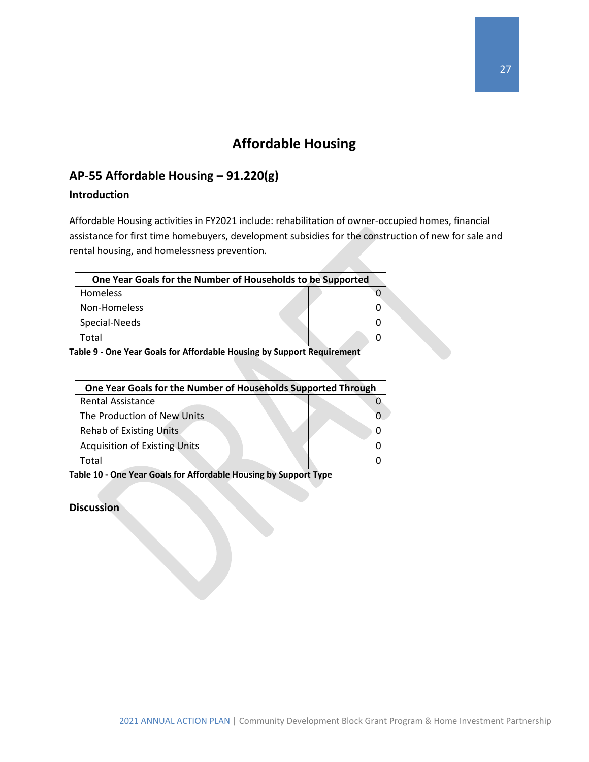# **Affordable Housing**

### <span id="page-27-1"></span><span id="page-27-0"></span>**AP-55 Affordable Housing – 91.220(g)**

### **Introduction**

Affordable Housing activities in FY2021 include: rehabilitation of owner-occupied homes, financial assistance for first time homebuyers, development subsidies for the construction of new for sale and rental housing, and homelessness prevention.

| One Year Goals for the Number of Households to be Supported |  |
|-------------------------------------------------------------|--|
| <b>Homeless</b>                                             |  |
| Non-Homeless                                                |  |
| Special-Needs                                               |  |
| Total                                                       |  |

**Table 9 - One Year Goals for Affordable Housing by Support Requirement**

| One Year Goals for the Number of Households Supported Through    |  |  |  |
|------------------------------------------------------------------|--|--|--|
| <b>Rental Assistance</b>                                         |  |  |  |
| The Production of New Units                                      |  |  |  |
| <b>Rehab of Existing Units</b>                                   |  |  |  |
| <b>Acquisition of Existing Units</b>                             |  |  |  |
| Total                                                            |  |  |  |
| Table 10 - One Year Goals for Affordable Housing by Support Type |  |  |  |

**Discussion**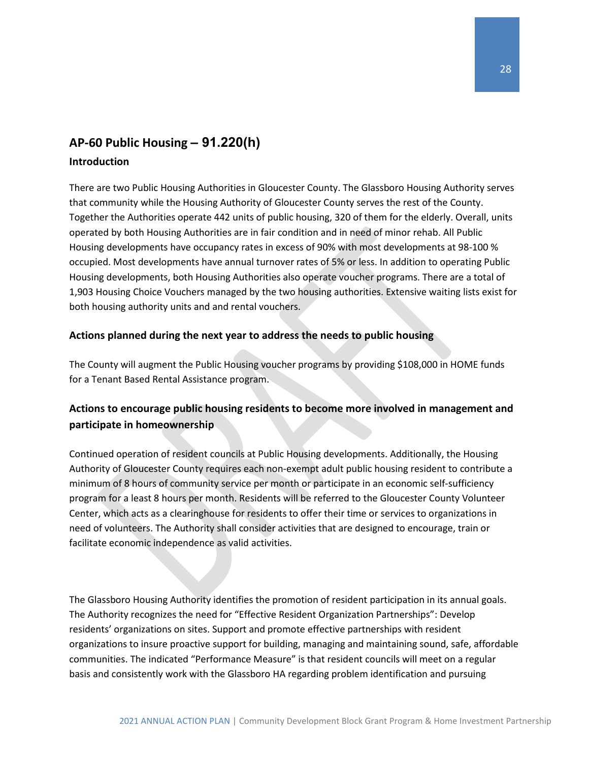## <span id="page-28-0"></span>**AP-60 Public Housing** *–* **91.220(h)**

### **Introduction**

There are two Public Housing Authorities in Gloucester County. The Glassboro Housing Authority serves that community while the Housing Authority of Gloucester County serves the rest of the County. Together the Authorities operate 442 units of public housing, 320 of them for the elderly. Overall, units operated by both Housing Authorities are in fair condition and in need of minor rehab. All Public Housing developments have occupancy rates in excess of 90% with most developments at 98-100 % occupied. Most developments have annual turnover rates of 5% or less. In addition to operating Public Housing developments, both Housing Authorities also operate voucher programs. There are a total of 1,903 Housing Choice Vouchers managed by the two housing authorities. Extensive waiting lists exist for both housing authority units and and rental vouchers.

### **Actions planned during the next year to address the needs to public housing**

The County will augment the Public Housing voucher programs by providing \$108,000 in HOME funds for a Tenant Based Rental Assistance program.

### **Actions to encourage public housing residents to become more involved in management and participate in homeownership**

Continued operation of resident councils at Public Housing developments. Additionally, the Housing Authority of Gloucester County requires each non-exempt adult public housing resident to contribute a minimum of 8 hours of community service per month or participate in an economic self-sufficiency program for a least 8 hours per month. Residents will be referred to the Gloucester County Volunteer Center, which acts as a clearinghouse for residents to offer their time or services to organizations in need of volunteers. The Authority shall consider activities that are designed to encourage, train or facilitate economic independence as valid activities.

The Glassboro Housing Authority identifies the promotion of resident participation in its annual goals. The Authority recognizes the need for "Effective Resident Organization Partnerships": Develop residents' organizations on sites. Support and promote effective partnerships with resident organizations to insure proactive support for building, managing and maintaining sound, safe, affordable communities. The indicated "Performance Measure" is that resident councils will meet on a regular basis and consistently work with the Glassboro HA regarding problem identification and pursuing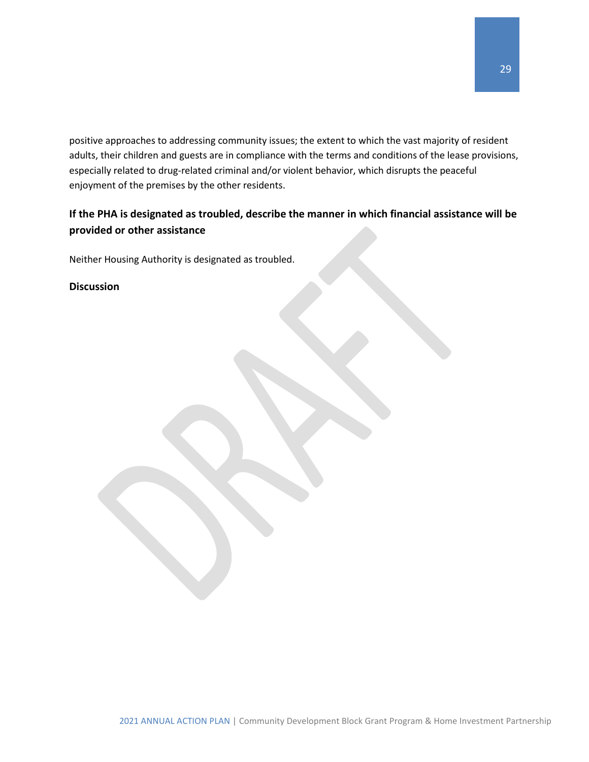positive approaches to addressing community issues; the extent to which the vast majority of resident adults, their children and guests are in compliance with the terms and conditions of the lease provisions, especially related to drug-related criminal and/or violent behavior, which disrupts the peaceful enjoyment of the premises by the other residents.

### **If the PHA is designated as troubled, describe the manner in which financial assistance will be provided or other assistance**

Neither Housing Authority is designated as troubled.

#### **Discussion**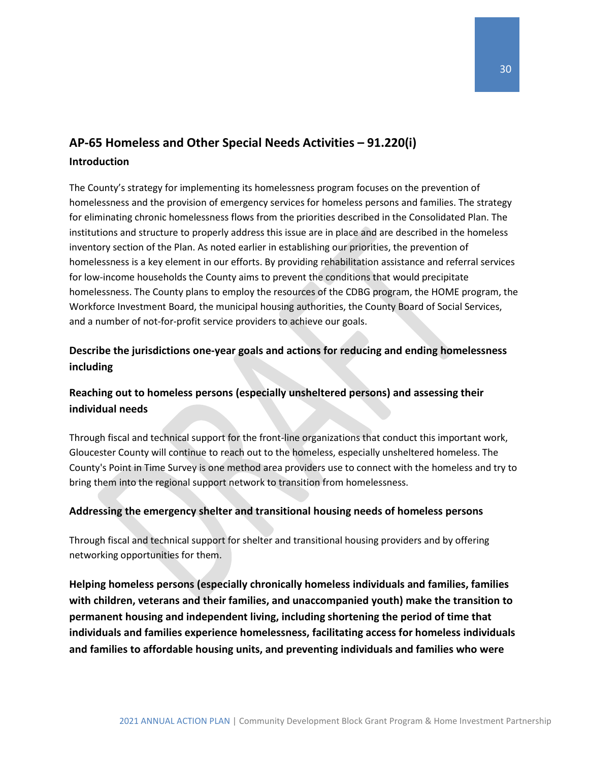### <span id="page-30-0"></span>**AP-65 Homeless and Other Special Needs Activities – 91.220(i) Introduction**

The County's strategy for implementing its homelessness program focuses on the prevention of homelessness and the provision of emergency services for homeless persons and families. The strategy for eliminating chronic homelessness flows from the priorities described in the Consolidated Plan. The institutions and structure to properly address this issue are in place and are described in the homeless inventory section of the Plan. As noted earlier in establishing our priorities, the prevention of homelessness is a key element in our efforts. By providing rehabilitation assistance and referral services for low-income households the County aims to prevent the conditions that would precipitate homelessness. The County plans to employ the resources of the CDBG program, the HOME program, the Workforce Investment Board, the municipal housing authorities, the County Board of Social Services, and a number of not-for-profit service providers to achieve our goals.

### **Describe the jurisdictions one-year goals and actions for reducing and ending homelessness including**

### **Reaching out to homeless persons (especially unsheltered persons) and assessing their individual needs**

Through fiscal and technical support for the front-line organizations that conduct this important work, Gloucester County will continue to reach out to the homeless, especially unsheltered homeless. The County's Point in Time Survey is one method area providers use to connect with the homeless and try to bring them into the regional support network to transition from homelessness.

### **Addressing the emergency shelter and transitional housing needs of homeless persons**

Through fiscal and technical support for shelter and transitional housing providers and by offering networking opportunities for them.

**Helping homeless persons (especially chronically homeless individuals and families, families with children, veterans and their families, and unaccompanied youth) make the transition to permanent housing and independent living, including shortening the period of time that individuals and families experience homelessness, facilitating access for homeless individuals and families to affordable housing units, and preventing individuals and families who were**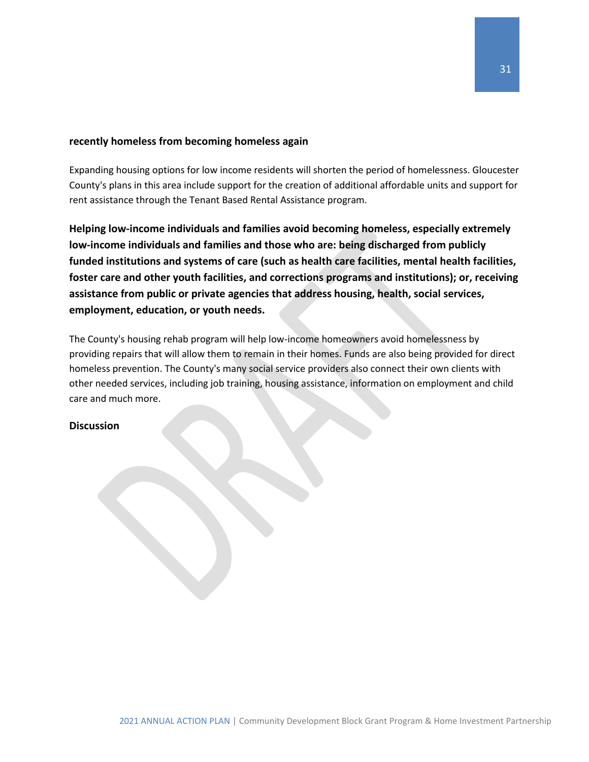#### **recently homeless from becoming homeless again**

Expanding housing options for low income residents will shorten the period of homelessness. Gloucester County's plans in this area include support for the creation of additional affordable units and support for rent assistance through the Tenant Based Rental Assistance program.

**Helping low-income individuals and families avoid becoming homeless, especially extremely low-income individuals and families and those who are: being discharged from publicly funded institutions and systems of care (such as health care facilities, mental health facilities, foster care and other youth facilities, and corrections programs and institutions); or, receiving assistance from public or private agencies that address housing, health, social services, employment, education, or youth needs.**

The County's housing rehab program will help low-income homeowners avoid homelessness by providing repairs that will allow them to remain in their homes. Funds are also being provided for direct homeless prevention. The County's many social service providers also connect their own clients with other needed services, including job training, housing assistance, information on employment and child care and much more.

#### **Discussion**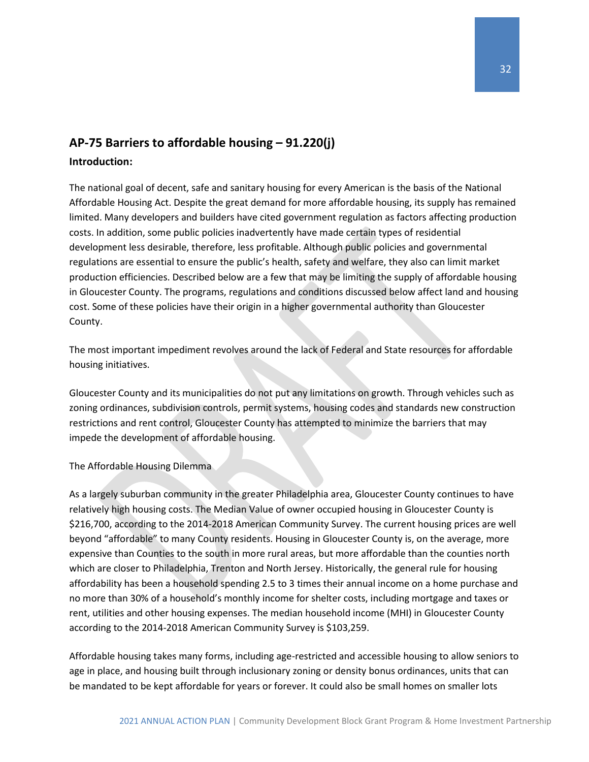# <span id="page-32-0"></span>**AP-75 Barriers to affordable housing – 91.220(j)**

#### **Introduction:**

The national goal of decent, safe and sanitary housing for every American is the basis of the National Affordable Housing Act. Despite the great demand for more affordable housing, its supply has remained limited. Many developers and builders have cited government regulation as factors affecting production costs. In addition, some public policies inadvertently have made certain types of residential development less desirable, therefore, less profitable. Although public policies and governmental regulations are essential to ensure the public's health, safety and welfare, they also can limit market production efficiencies. Described below are a few that may be limiting the supply of affordable housing in Gloucester County. The programs, regulations and conditions discussed below affect land and housing cost. Some of these policies have their origin in a higher governmental authority than Gloucester County.

The most important impediment revolves around the lack of Federal and State resources for affordable housing initiatives.

Gloucester County and its municipalities do not put any limitations on growth. Through vehicles such as zoning ordinances, subdivision controls, permit systems, housing codes and standards new construction restrictions and rent control, Gloucester County has attempted to minimize the barriers that may impede the development of affordable housing.

The Affordable Housing Dilemma

As a largely suburban community in the greater Philadelphia area, Gloucester County continues to have relatively high housing costs. The Median Value of owner occupied housing in Gloucester County is \$216,700, according to the 2014-2018 American Community Survey. The current housing prices are well beyond "affordable" to many County residents. Housing in Gloucester County is, on the average, more expensive than Counties to the south in more rural areas, but more affordable than the counties north which are closer to Philadelphia, Trenton and North Jersey. Historically, the general rule for housing affordability has been a household spending 2.5 to 3 times their annual income on a home purchase and no more than 30% of a household's monthly income for shelter costs, including mortgage and taxes or rent, utilities and other housing expenses. The median household income (MHI) in Gloucester County according to the 2014-2018 American Community Survey is \$103,259.

Affordable housing takes many forms, including age-restricted and accessible housing to allow seniors to age in place, and housing built through inclusionary zoning or density bonus ordinances, units that can be mandated to be kept affordable for years or forever. It could also be small homes on smaller lots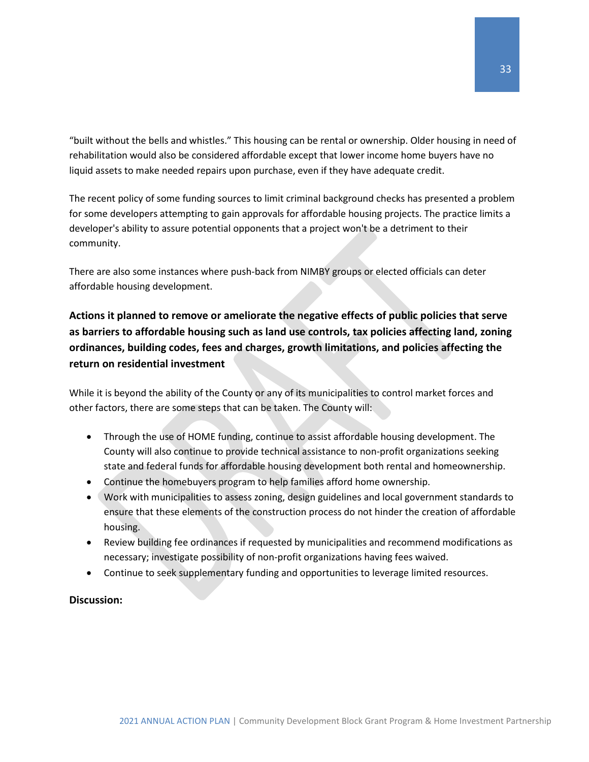"built without the bells and whistles." This housing can be rental or ownership. Older housing in need of rehabilitation would also be considered affordable except that lower income home buyers have no liquid assets to make needed repairs upon purchase, even if they have adequate credit.

The recent policy of some funding sources to limit criminal background checks has presented a problem for some developers attempting to gain approvals for affordable housing projects. The practice limits a developer's ability to assure potential opponents that a project won't be a detriment to their community.

There are also some instances where push-back from NIMBY groups or elected officials can deter affordable housing development.

### **Actions it planned to remove or ameliorate the negative effects of public policies that serve as barriers to affordable housing such as land use controls, tax policies affecting land, zoning ordinances, building codes, fees and charges, growth limitations, and policies affecting the return on residential investment**

While it is beyond the ability of the County or any of its municipalities to control market forces and other factors, there are some steps that can be taken. The County will:

- Through the use of HOME funding, continue to assist affordable housing development. The County will also continue to provide technical assistance to non-profit organizations seeking state and federal funds for affordable housing development both rental and homeownership.
- Continue the homebuyers program to help families afford home ownership.
- Work with municipalities to assess zoning, design guidelines and local government standards to ensure that these elements of the construction process do not hinder the creation of affordable housing.
- Review building fee ordinances if requested by municipalities and recommend modifications as necessary; investigate possibility of non-profit organizations having fees waived.
- Continue to seek supplementary funding and opportunities to leverage limited resources.

#### **Discussion:**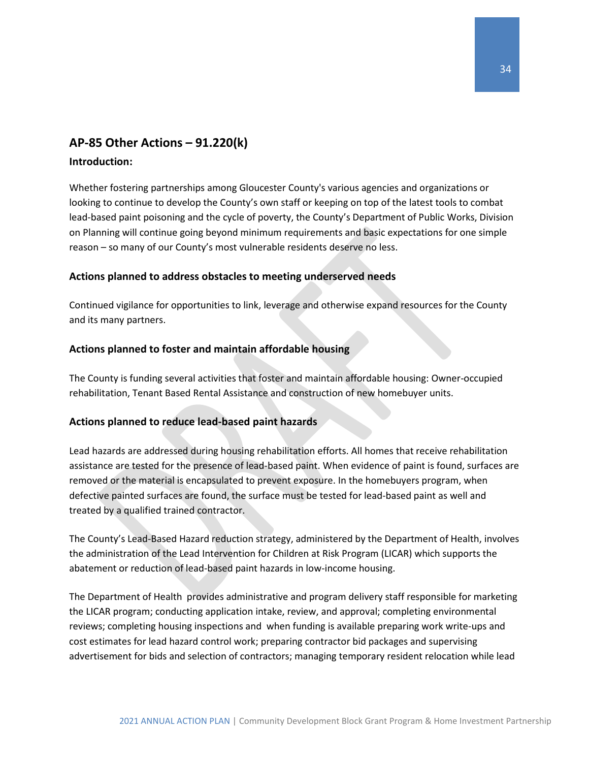### <span id="page-34-0"></span>**AP-85 Other Actions – 91.220(k)**

#### **Introduction:**

Whether fostering partnerships among Gloucester County's various agencies and organizations or looking to continue to develop the County's own staff or keeping on top of the latest tools to combat lead-based paint poisoning and the cycle of poverty, the County's Department of Public Works, Division on Planning will continue going beyond minimum requirements and basic expectations for one simple reason – so many of our County's most vulnerable residents deserve no less.

#### **Actions planned to address obstacles to meeting underserved needs**

Continued vigilance for opportunities to link, leverage and otherwise expand resources for the County and its many partners.

#### **Actions planned to foster and maintain affordable housing**

The County is funding several activities that foster and maintain affordable housing: Owner-occupied rehabilitation, Tenant Based Rental Assistance and construction of new homebuyer units.

#### **Actions planned to reduce lead-based paint hazards**

Lead hazards are addressed during housing rehabilitation efforts. All homes that receive rehabilitation assistance are tested for the presence of lead-based paint. When evidence of paint is found, surfaces are removed or the material is encapsulated to prevent exposure. In the homebuyers program, when defective painted surfaces are found, the surface must be tested for lead-based paint as well and treated by a qualified trained contractor.

The County's Lead-Based Hazard reduction strategy, administered by the Department of Health, involves the administration of the Lead Intervention for Children at Risk Program (LICAR) which supports the abatement or reduction of lead-based paint hazards in low-income housing.

The Department of Health provides administrative and program delivery staff responsible for marketing the LICAR program; conducting application intake, review, and approval; completing environmental reviews; completing housing inspections and when funding is available preparing work write-ups and cost estimates for lead hazard control work; preparing contractor bid packages and supervising advertisement for bids and selection of contractors; managing temporary resident relocation while lead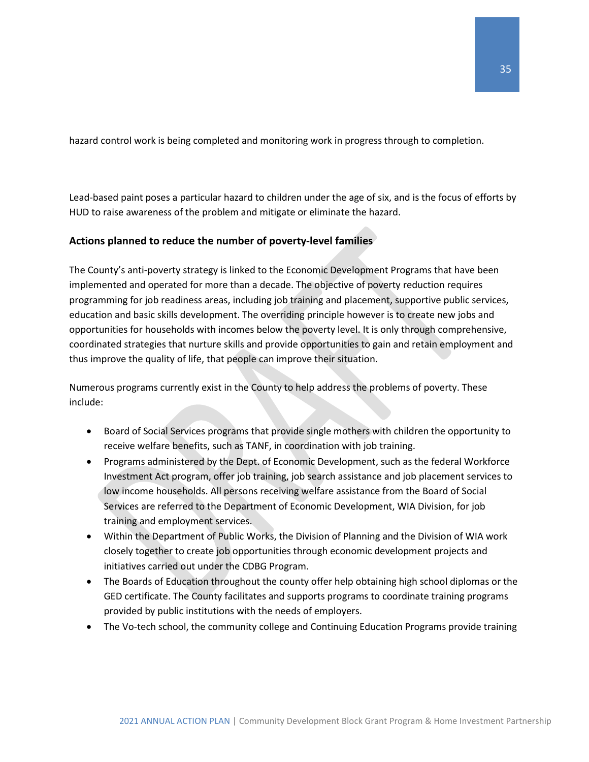hazard control work is being completed and monitoring work in progress through to completion.

Lead-based paint poses a particular hazard to children under the age of six, and is the focus of efforts by HUD to raise awareness of the problem and mitigate or eliminate the hazard.

### **Actions planned to reduce the number of poverty-level families**

The County's anti-poverty strategy is linked to the Economic Development Programs that have been implemented and operated for more than a decade. The objective of poverty reduction requires programming for job readiness areas, including job training and placement, supportive public services, education and basic skills development. The overriding principle however is to create new jobs and opportunities for households with incomes below the poverty level. It is only through comprehensive, coordinated strategies that nurture skills and provide opportunities to gain and retain employment and thus improve the quality of life, that people can improve their situation.

Numerous programs currently exist in the County to help address the problems of poverty. These include:

- Board of Social Services programs that provide single mothers with children the opportunity to receive welfare benefits, such as TANF, in coordination with job training.
- Programs administered by the Dept. of Economic Development, such as the federal Workforce Investment Act program, offer job training, job search assistance and job placement services to low income households. All persons receiving welfare assistance from the Board of Social Services are referred to the Department of Economic Development, WIA Division, for job training and employment services.
- Within the Department of Public Works, the Division of Planning and the Division of WIA work closely together to create job opportunities through economic development projects and initiatives carried out under the CDBG Program.
- The Boards of Education throughout the county offer help obtaining high school diplomas or the GED certificate. The County facilitates and supports programs to coordinate training programs provided by public institutions with the needs of employers.
- The Vo-tech school, the community college and Continuing Education Programs provide training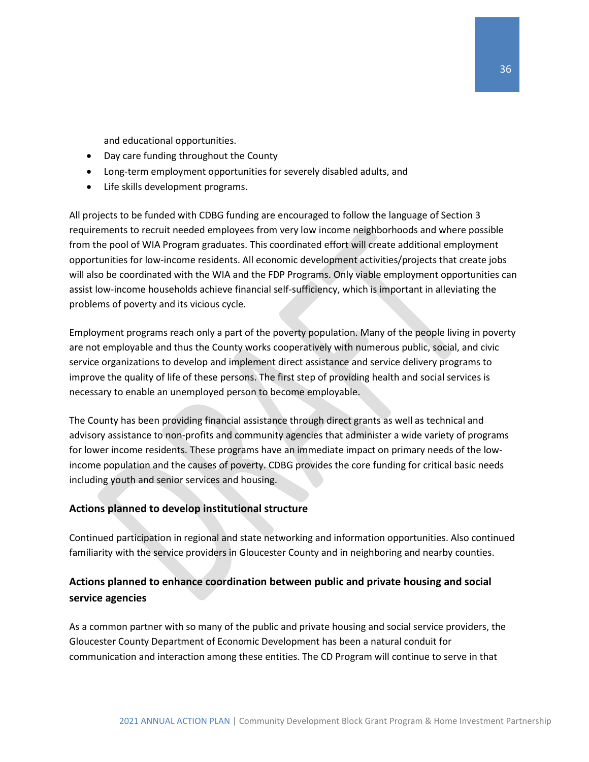and educational opportunities.

- Day care funding throughout the County
- Long-term employment opportunities for severely disabled adults, and
- Life skills development programs.

All projects to be funded with CDBG funding are encouraged to follow the language of Section 3 requirements to recruit needed employees from very low income neighborhoods and where possible from the pool of WIA Program graduates. This coordinated effort will create additional employment opportunities for low-income residents. All economic development activities/projects that create jobs will also be coordinated with the WIA and the FDP Programs. Only viable employment opportunities can assist low-income households achieve financial self-sufficiency, which is important in alleviating the problems of poverty and its vicious cycle.

Employment programs reach only a part of the poverty population. Many of the people living in poverty are not employable and thus the County works cooperatively with numerous public, social, and civic service organizations to develop and implement direct assistance and service delivery programs to improve the quality of life of these persons. The first step of providing health and social services is necessary to enable an unemployed person to become employable.

The County has been providing financial assistance through direct grants as well as technical and advisory assistance to non-profits and community agencies that administer a wide variety of programs for lower income residents. These programs have an immediate impact on primary needs of the lowincome population and the causes of poverty. CDBG provides the core funding for critical basic needs including youth and senior services and housing.

#### **Actions planned to develop institutional structure**

Continued participation in regional and state networking and information opportunities. Also continued familiarity with the service providers in Gloucester County and in neighboring and nearby counties.

### **Actions planned to enhance coordination between public and private housing and social service agencies**

As a common partner with so many of the public and private housing and social service providers, the Gloucester County Department of Economic Development has been a natural conduit for communication and interaction among these entities. The CD Program will continue to serve in that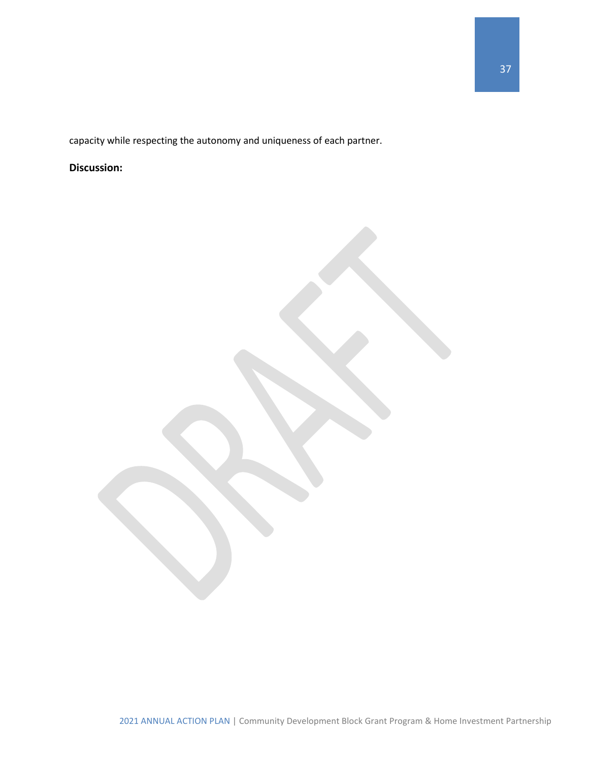capacity while respecting the autonomy and uniqueness of each partner.

### **Discussion:**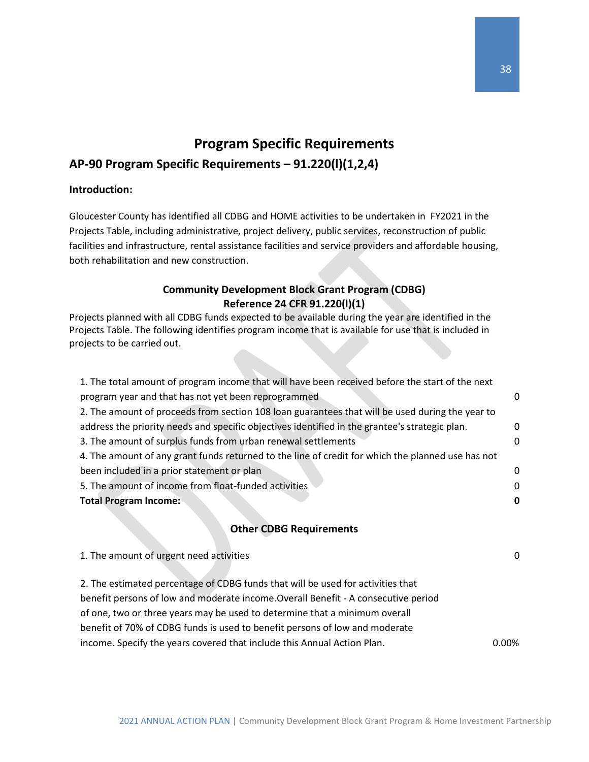# <span id="page-38-0"></span>**Program Specific Requirements AP-90 Program Specific Requirements – 91.220(l)(1,2,4)**

### **Introduction:**

Gloucester County has identified all CDBG and HOME activities to be undertaken in FY2021 in the Projects Table, including administrative, project delivery, public services, reconstruction of public facilities and infrastructure, rental assistance facilities and service providers and affordable housing, both rehabilitation and new construction.

### **Community Development Block Grant Program (CDBG) Reference 24 CFR 91.220(l)(1)**

Projects planned with all CDBG funds expected to be available during the year are identified in the Projects Table. The following identifies program income that is available for use that is included in projects to be carried out.

| 1. The total amount of program income that will have been received before the start of the next   |       |
|---------------------------------------------------------------------------------------------------|-------|
| program year and that has not yet been reprogrammed                                               | 0     |
| 2. The amount of proceeds from section 108 loan guarantees that will be used during the year to   |       |
| address the priority needs and specific objectives identified in the grantee's strategic plan.    | 0     |
| 3. The amount of surplus funds from urban renewal settlements                                     | 0     |
|                                                                                                   |       |
| 4. The amount of any grant funds returned to the line of credit for which the planned use has not |       |
| been included in a prior statement or plan                                                        | 0     |
| 5. The amount of income from float-funded activities                                              | 0     |
| <b>Total Program Income:</b>                                                                      | 0     |
|                                                                                                   |       |
| <b>Other CDBG Requirements</b>                                                                    |       |
|                                                                                                   |       |
| 1. The amount of urgent need activities                                                           | 0     |
|                                                                                                   |       |
| 2. The estimated percentage of CDBG funds that will be used for activities that                   |       |
| benefit persons of low and moderate income. Overall Benefit - A consecutive period                |       |
| of one, two or three years may be used to determine that a minimum overall                        |       |
| benefit of 70% of CDBG funds is used to benefit persons of low and moderate                       |       |
| income. Specify the years covered that include this Annual Action Plan.                           | 0.00% |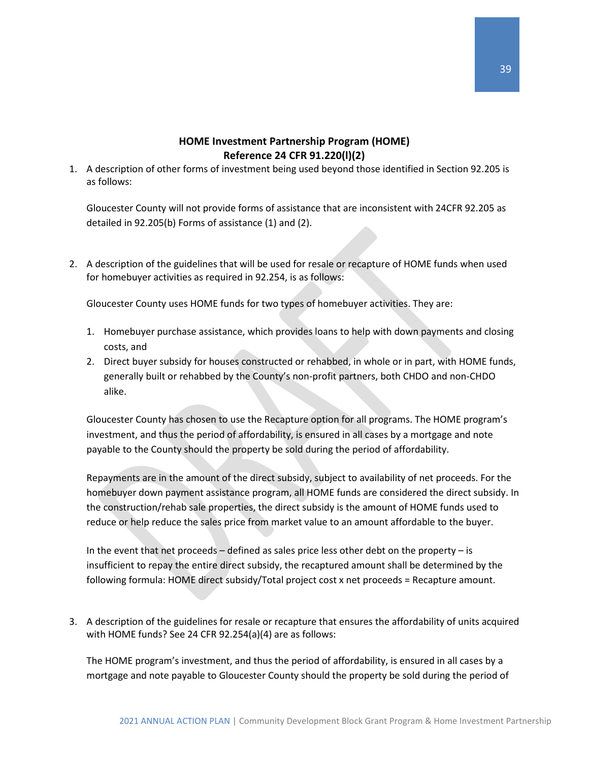### **HOME Investment Partnership Program (HOME) Reference 24 CFR 91.220(l)(2)**

1. A description of other forms of investment being used beyond those identified in Section 92.205 is as follows:

Gloucester County will not provide forms of assistance that are inconsistent with 24CFR 92.205 as detailed in 92.205(b) Forms of assistance (1) and (2).

2. A description of the guidelines that will be used for resale or recapture of HOME funds when used for homebuyer activities as required in 92.254, is as follows:

Gloucester County uses HOME funds for two types of homebuyer activities. They are:

- 1. Homebuyer purchase assistance, which provides loans to help with down payments and closing costs, and
- 2. Direct buyer subsidy for houses constructed or rehabbed, in whole or in part, with HOME funds, generally built or rehabbed by the County's non-profit partners, both CHDO and non-CHDO alike.

Gloucester County has chosen to use the Recapture option for all programs. The HOME program's investment, and thus the period of affordability, is ensured in all cases by a mortgage and note payable to the County should the property be sold during the period of affordability.

Repayments are in the amount of the direct subsidy, subject to availability of net proceeds. For the homebuyer down payment assistance program, all HOME funds are considered the direct subsidy. In the construction/rehab sale properties, the direct subsidy is the amount of HOME funds used to reduce or help reduce the sales price from market value to an amount affordable to the buyer.

In the event that net proceeds – defined as sales price less other debt on the property – is insufficient to repay the entire direct subsidy, the recaptured amount shall be determined by the following formula: HOME direct subsidy/Total project cost x net proceeds = Recapture amount.

3. A description of the guidelines for resale or recapture that ensures the affordability of units acquired with HOME funds? See 24 CFR 92.254(a)(4) are as follows:

The HOME program's investment, and thus the period of affordability, is ensured in all cases by a mortgage and note payable to Gloucester County should the property be sold during the period of